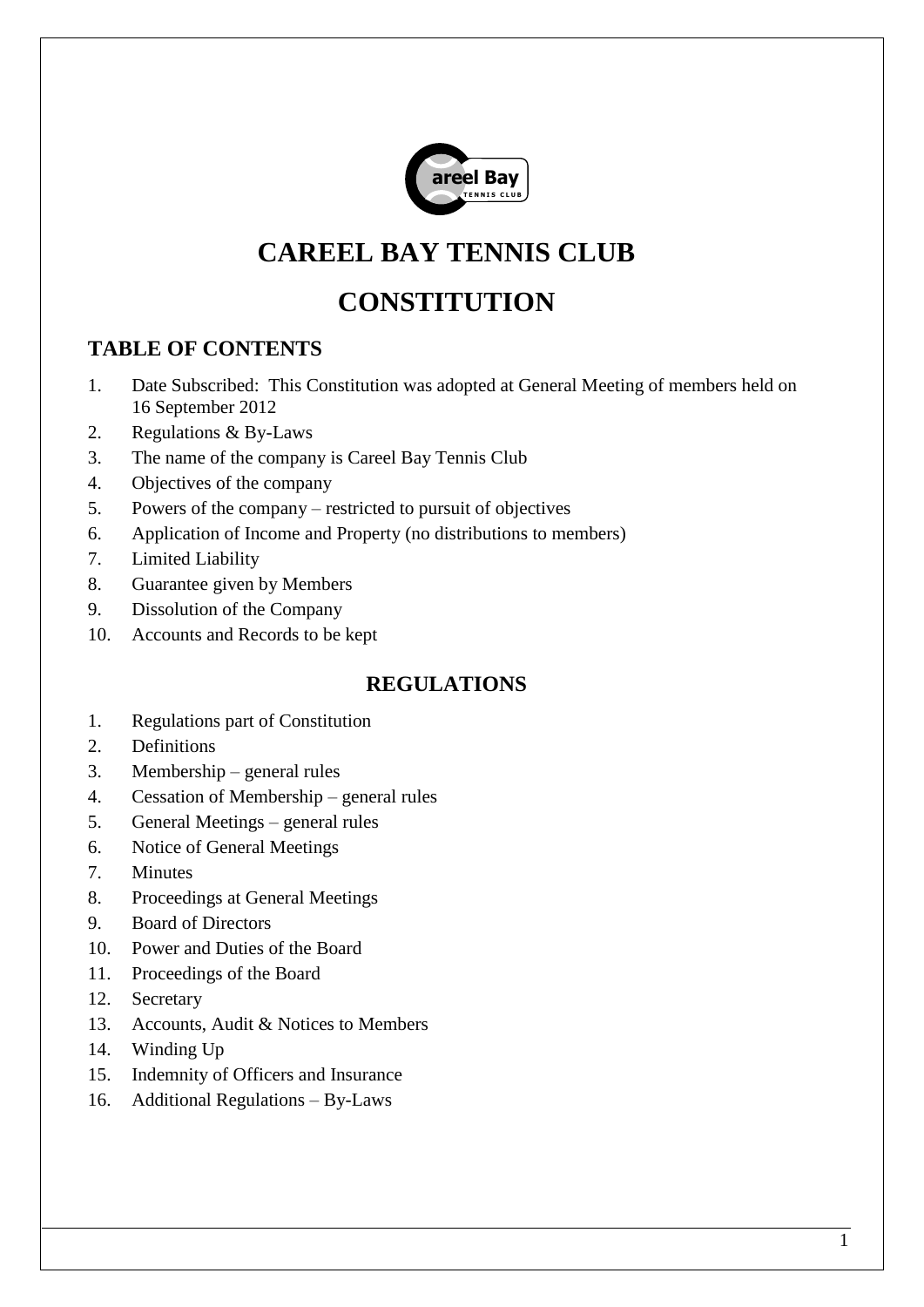

# **CAREEL BAY TENNIS CLUB**

# **CONSTITUTION**

# **TABLE OF CONTENTS**

- 1. Date Subscribed: This Constitution was adopted at General Meeting of members held on 16 September 2012
- 2. Regulations & By-Laws
- 3. The name of the company is Careel Bay Tennis Club
- 4. Objectives of the company
- 5. Powers of the company restricted to pursuit of objectives
- 6. Application of Income and Property (no distributions to members)
- 7. Limited Liability
- 8. Guarantee given by Members
- 9. Dissolution of the Company
- 10. Accounts and Records to be kept

# **REGULATIONS**

- 1. Regulations part of Constitution
- 2. Definitions
- 3. Membership general rules
- 4. Cessation of Membership general rules
- 5. General Meetings general rules
- 6. Notice of General Meetings
- 7. Minutes
- 8. Proceedings at General Meetings
- 9. Board of Directors
- 10. Power and Duties of the Board
- 11. Proceedings of the Board
- 12. Secretary
- 13. Accounts, Audit & Notices to Members
- 14. Winding Up
- 15. Indemnity of Officers and Insurance
- 16. Additional Regulations By-Laws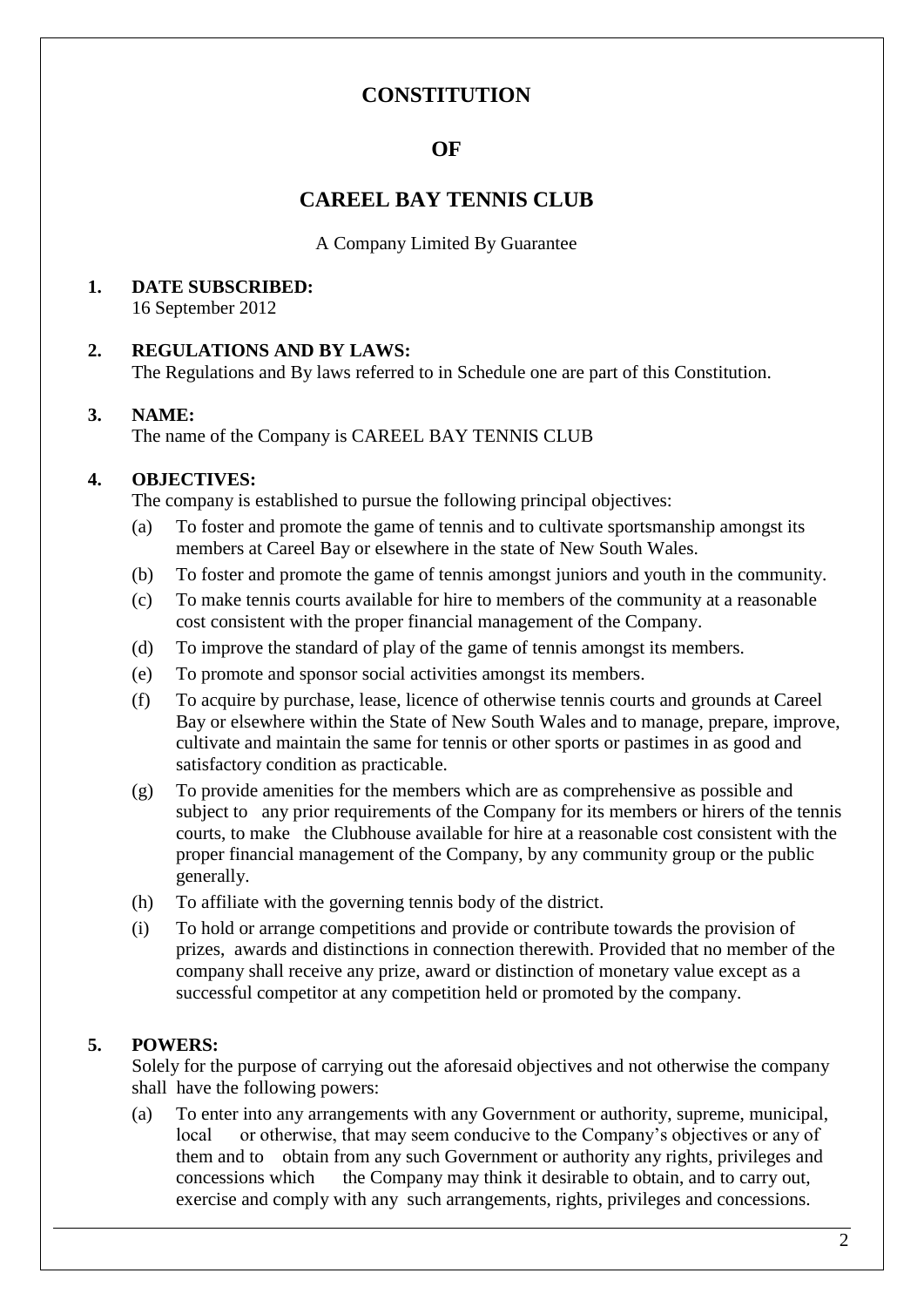## **CONSTITUTION**

### **OF**

## **CAREEL BAY TENNIS CLUB**

A Company Limited By Guarantee

#### **1. DATE SUBSCRIBED:** 16 September 2012

#### **2. REGULATIONS AND BY LAWS:** The Regulations and By laws referred to in Schedule one are part of this Constitution.

#### **3. NAME:**

The name of the Company is CAREEL BAY TENNIS CLUB

#### **4. OBJECTIVES:**

The company is established to pursue the following principal objectives:

- (a) To foster and promote the game of tennis and to cultivate sportsmanship amongst its members at Careel Bay or elsewhere in the state of New South Wales.
- (b) To foster and promote the game of tennis amongst juniors and youth in the community.
- (c) To make tennis courts available for hire to members of the community at a reasonable cost consistent with the proper financial management of the Company.
- (d) To improve the standard of play of the game of tennis amongst its members.
- (e) To promote and sponsor social activities amongst its members.
- (f) To acquire by purchase, lease, licence of otherwise tennis courts and grounds at Careel Bay or elsewhere within the State of New South Wales and to manage, prepare, improve, cultivate and maintain the same for tennis or other sports or pastimes in as good and satisfactory condition as practicable.
- (g) To provide amenities for the members which are as comprehensive as possible and subject to any prior requirements of the Company for its members or hirers of the tennis courts, to make the Clubhouse available for hire at a reasonable cost consistent with the proper financial management of the Company, by any community group or the public generally.
- (h) To affiliate with the governing tennis body of the district.
- (i) To hold or arrange competitions and provide or contribute towards the provision of prizes, awards and distinctions in connection therewith. Provided that no member of the company shall receive any prize, award or distinction of monetary value except as a successful competitor at any competition held or promoted by the company.

#### **5. POWERS:**

Solely for the purpose of carrying out the aforesaid objectives and not otherwise the company shall have the following powers:

(a) To enter into any arrangements with any Government or authority, supreme, municipal, local or otherwise, that may seem conducive to the Company's objectives or any of them and to obtain from any such Government or authority any rights, privileges and concessions which the Company may think it desirable to obtain, and to carry out, exercise and comply with any such arrangements, rights, privileges and concessions.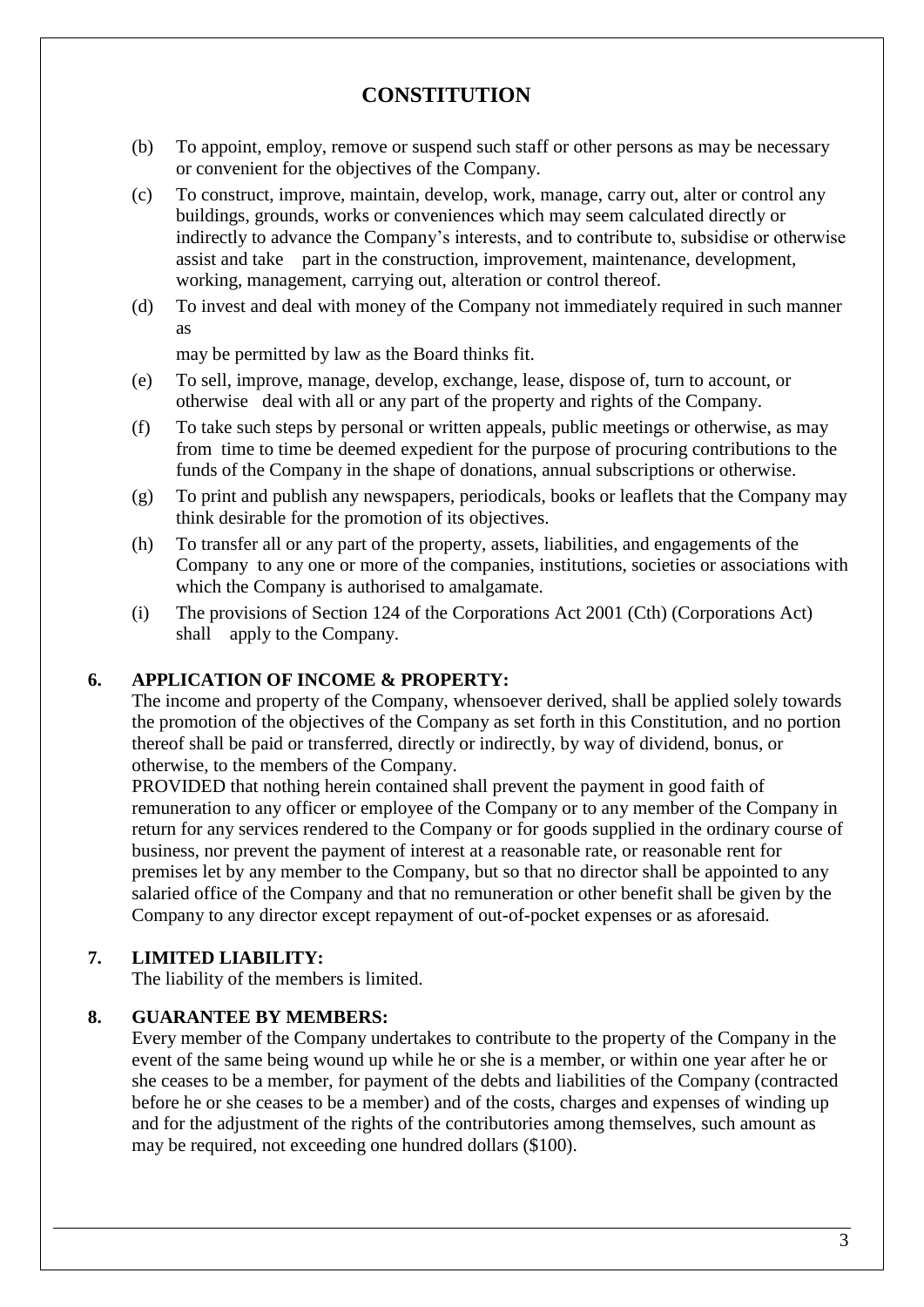# **CONSTITUTION**

- (b) To appoint, employ, remove or suspend such staff or other persons as may be necessary or convenient for the objectives of the Company.
- (c) To construct, improve, maintain, develop, work, manage, carry out, alter or control any buildings, grounds, works or conveniences which may seem calculated directly or indirectly to advance the Company's interests, and to contribute to, subsidise or otherwise assist and take part in the construction, improvement, maintenance, development, working, management, carrying out, alteration or control thereof.
- (d) To invest and deal with money of the Company not immediately required in such manner as

may be permitted by law as the Board thinks fit.

- (e) To sell, improve, manage, develop, exchange, lease, dispose of, turn to account, or otherwise deal with all or any part of the property and rights of the Company.
- (f) To take such steps by personal or written appeals, public meetings or otherwise, as may from time to time be deemed expedient for the purpose of procuring contributions to the funds of the Company in the shape of donations, annual subscriptions or otherwise.
- (g) To print and publish any newspapers, periodicals, books or leaflets that the Company may think desirable for the promotion of its objectives.
- (h) To transfer all or any part of the property, assets, liabilities, and engagements of the Company to any one or more of the companies, institutions, societies or associations with which the Company is authorised to amalgamate.
- (i) The provisions of Section 124 of the Corporations Act 2001 (Cth) (Corporations Act) shall apply to the Company.

#### **6. APPLICATION OF INCOME & PROPERTY:**

The income and property of the Company, whensoever derived, shall be applied solely towards the promotion of the objectives of the Company as set forth in this Constitution, and no portion thereof shall be paid or transferred, directly or indirectly, by way of dividend, bonus, or otherwise, to the members of the Company.

PROVIDED that nothing herein contained shall prevent the payment in good faith of remuneration to any officer or employee of the Company or to any member of the Company in return for any services rendered to the Company or for goods supplied in the ordinary course of business, nor prevent the payment of interest at a reasonable rate, or reasonable rent for premises let by any member to the Company, but so that no director shall be appointed to any salaried office of the Company and that no remuneration or other benefit shall be given by the Company to any director except repayment of out-of-pocket expenses or as aforesaid.

#### **7. LIMITED LIABILITY:**

The liability of the members is limited.

#### **8. GUARANTEE BY MEMBERS:**

Every member of the Company undertakes to contribute to the property of the Company in the event of the same being wound up while he or she is a member, or within one year after he or she ceases to be a member, for payment of the debts and liabilities of the Company (contracted before he or she ceases to be a member) and of the costs, charges and expenses of winding up and for the adjustment of the rights of the contributories among themselves, such amount as may be required, not exceeding one hundred dollars (\$100).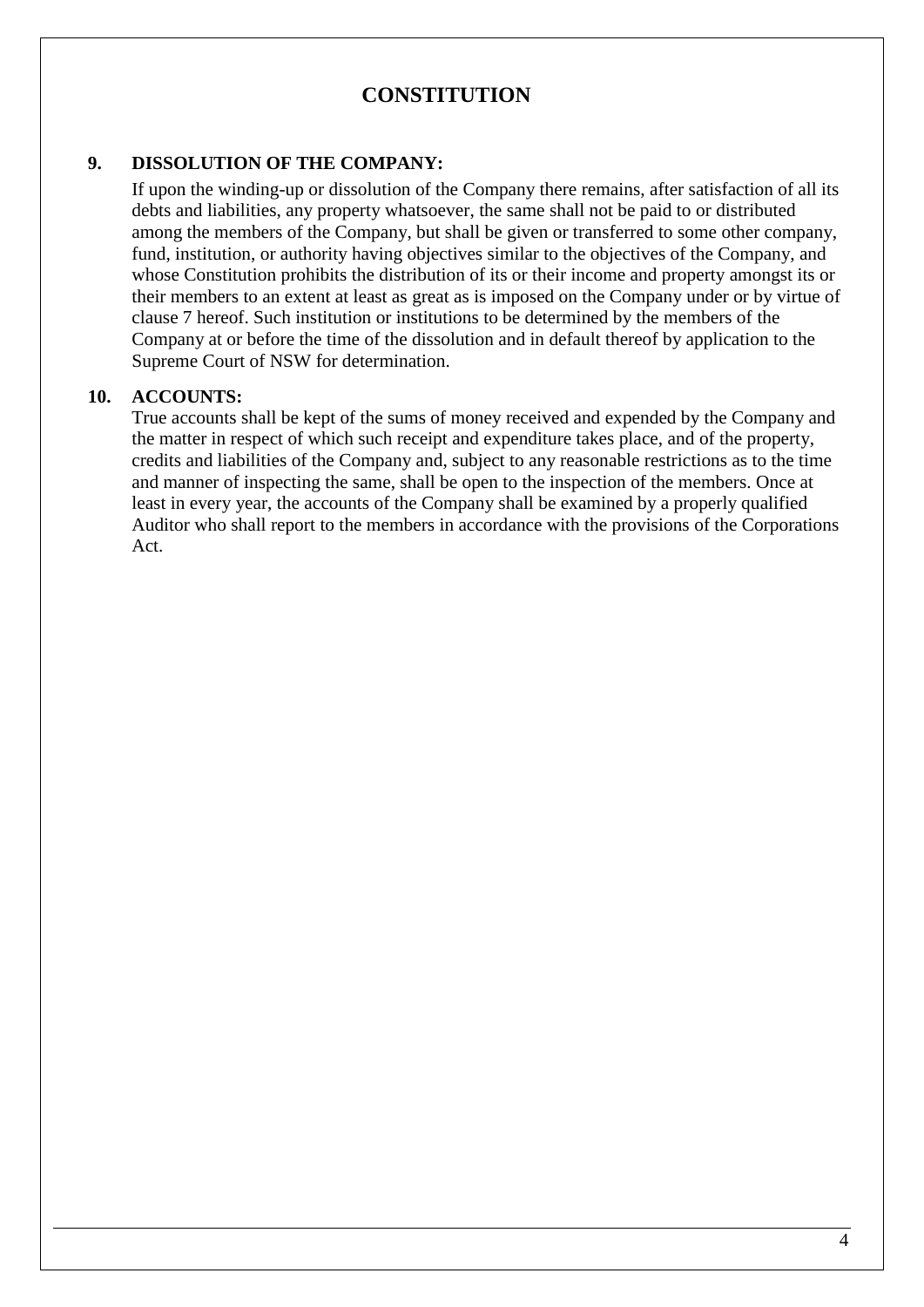## **CONSTITUTION**

#### **9. DISSOLUTION OF THE COMPANY:**

If upon the winding-up or dissolution of the Company there remains, after satisfaction of all its debts and liabilities, any property whatsoever, the same shall not be paid to or distributed among the members of the Company, but shall be given or transferred to some other company, fund, institution, or authority having objectives similar to the objectives of the Company, and whose Constitution prohibits the distribution of its or their income and property amongst its or their members to an extent at least as great as is imposed on the Company under or by virtue of clause 7 hereof. Such institution or institutions to be determined by the members of the Company at or before the time of the dissolution and in default thereof by application to the Supreme Court of NSW for determination.

#### **10. ACCOUNTS:**

True accounts shall be kept of the sums of money received and expended by the Company and the matter in respect of which such receipt and expenditure takes place, and of the property, credits and liabilities of the Company and, subject to any reasonable restrictions as to the time and manner of inspecting the same, shall be open to the inspection of the members. Once at least in every year, the accounts of the Company shall be examined by a properly qualified Auditor who shall report to the members in accordance with the provisions of the Corporations Act.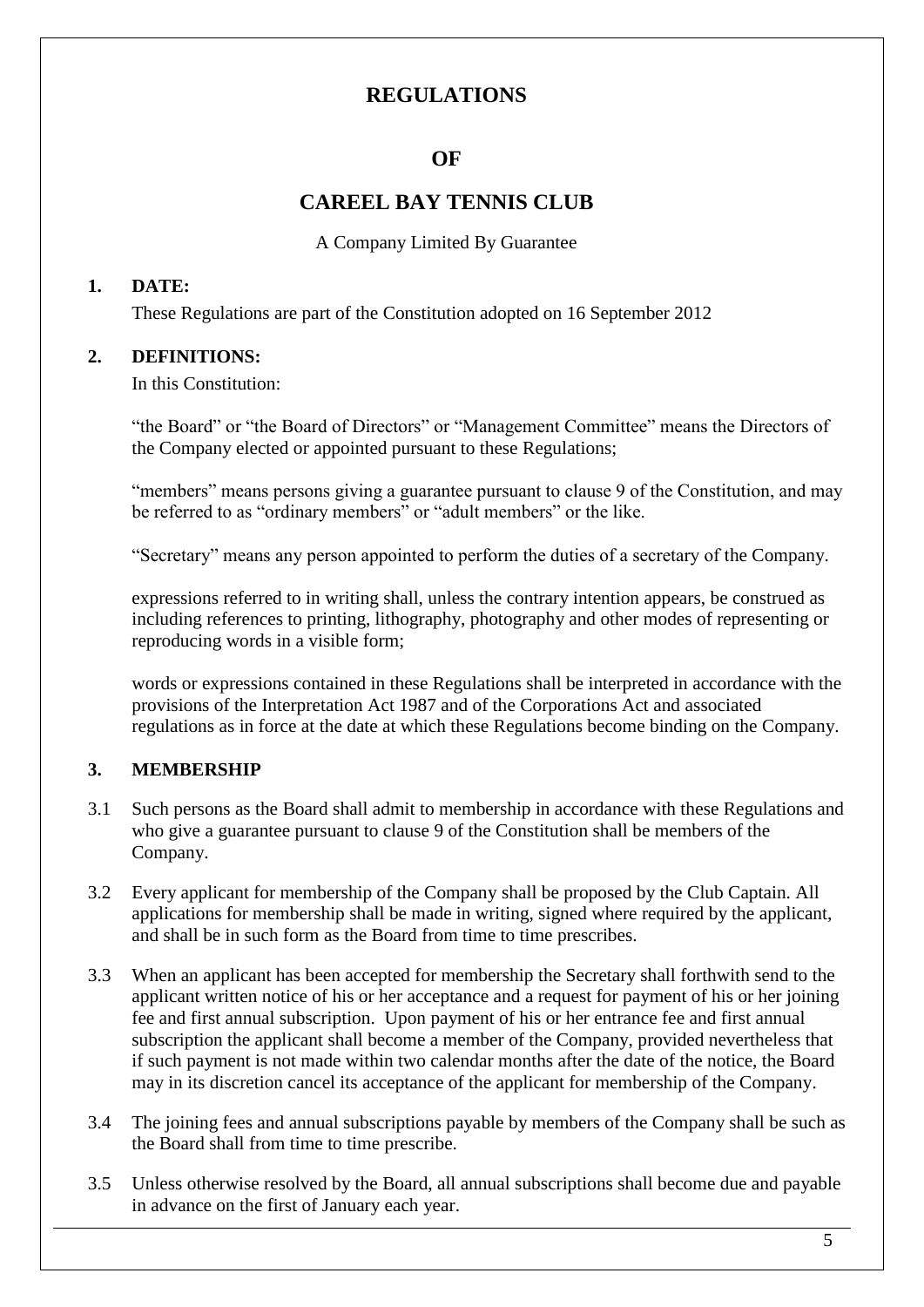# **OF**

### **CAREEL BAY TENNIS CLUB**

A Company Limited By Guarantee

#### **1. DATE:**

These Regulations are part of the Constitution adopted on 16 September 2012

### **2. DEFINITIONS:**

In this Constitution:

"the Board" or "the Board of Directors" or "Management Committee" means the Directors of the Company elected or appointed pursuant to these Regulations;

"members" means persons giving a guarantee pursuant to clause 9 of the Constitution, and may be referred to as "ordinary members" or "adult members" or the like.

"Secretary" means any person appointed to perform the duties of a secretary of the Company.

expressions referred to in writing shall, unless the contrary intention appears, be construed as including references to printing, lithography, photography and other modes of representing or reproducing words in a visible form;

words or expressions contained in these Regulations shall be interpreted in accordance with the provisions of the Interpretation Act 1987 and of the Corporations Act and associated regulations as in force at the date at which these Regulations become binding on the Company.

#### **3. MEMBERSHIP**

- 3.1 Such persons as the Board shall admit to membership in accordance with these Regulations and who give a guarantee pursuant to clause 9 of the Constitution shall be members of the Company.
- 3.2 Every applicant for membership of the Company shall be proposed by the Club Captain. All applications for membership shall be made in writing, signed where required by the applicant, and shall be in such form as the Board from time to time prescribes.
- 3.3 When an applicant has been accepted for membership the Secretary shall forthwith send to the applicant written notice of his or her acceptance and a request for payment of his or her joining fee and first annual subscription. Upon payment of his or her entrance fee and first annual subscription the applicant shall become a member of the Company, provided nevertheless that if such payment is not made within two calendar months after the date of the notice, the Board may in its discretion cancel its acceptance of the applicant for membership of the Company.
- 3.4 The joining fees and annual subscriptions payable by members of the Company shall be such as the Board shall from time to time prescribe.
- 3.5 Unless otherwise resolved by the Board, all annual subscriptions shall become due and payable in advance on the first of January each year.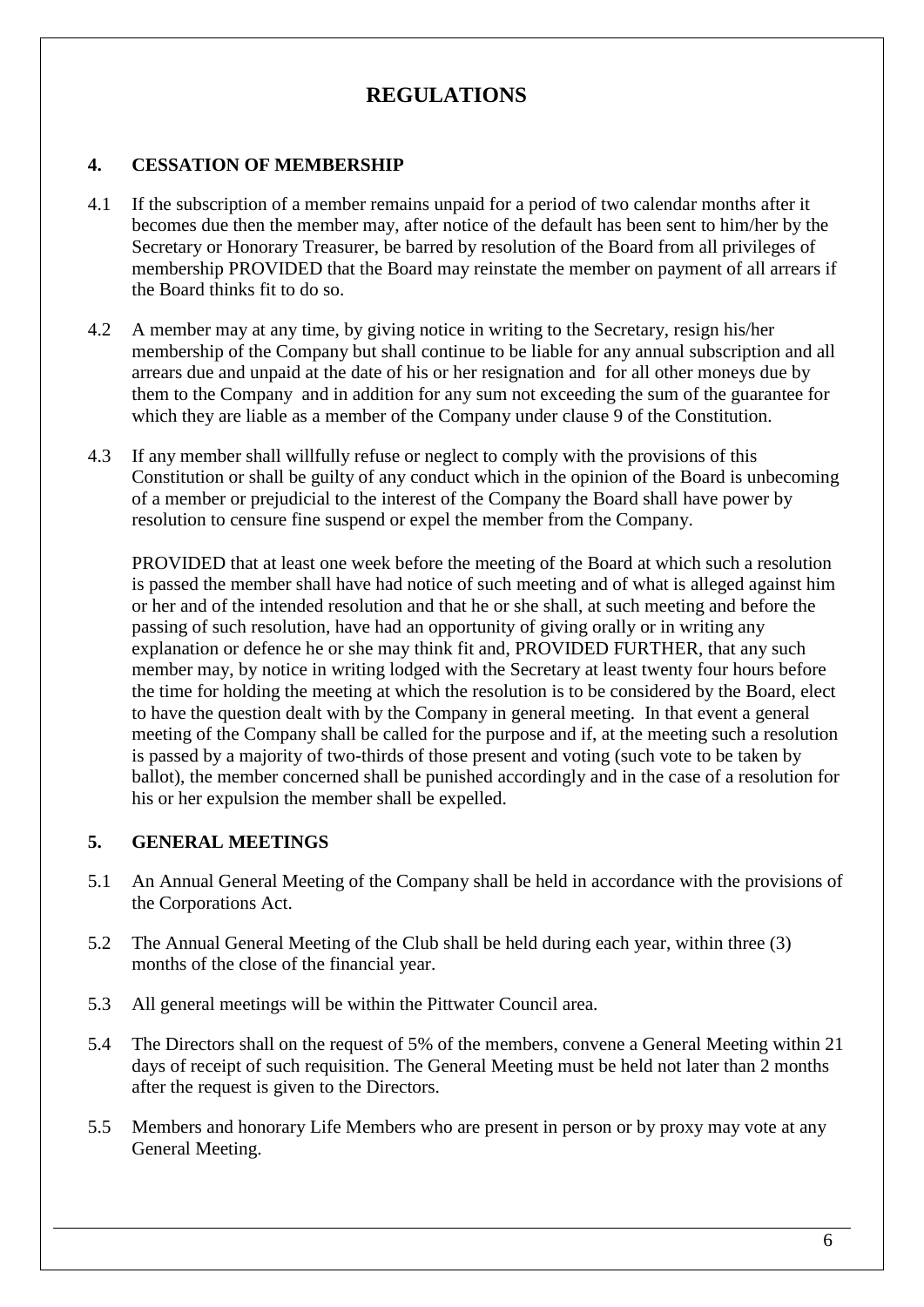#### **4. CESSATION OF MEMBERSHIP**

- 4.1 If the subscription of a member remains unpaid for a period of two calendar months after it becomes due then the member may, after notice of the default has been sent to him/her by the Secretary or Honorary Treasurer, be barred by resolution of the Board from all privileges of membership PROVIDED that the Board may reinstate the member on payment of all arrears if the Board thinks fit to do so.
- 4.2 A member may at any time, by giving notice in writing to the Secretary, resign his/her membership of the Company but shall continue to be liable for any annual subscription and all arrears due and unpaid at the date of his or her resignation and for all other moneys due by them to the Company and in addition for any sum not exceeding the sum of the guarantee for which they are liable as a member of the Company under clause 9 of the Constitution.
- 4.3 If any member shall willfully refuse or neglect to comply with the provisions of this Constitution or shall be guilty of any conduct which in the opinion of the Board is unbecoming of a member or prejudicial to the interest of the Company the Board shall have power by resolution to censure fine suspend or expel the member from the Company.

PROVIDED that at least one week before the meeting of the Board at which such a resolution is passed the member shall have had notice of such meeting and of what is alleged against him or her and of the intended resolution and that he or she shall, at such meeting and before the passing of such resolution, have had an opportunity of giving orally or in writing any explanation or defence he or she may think fit and, PROVIDED FURTHER, that any such member may, by notice in writing lodged with the Secretary at least twenty four hours before the time for holding the meeting at which the resolution is to be considered by the Board, elect to have the question dealt with by the Company in general meeting. In that event a general meeting of the Company shall be called for the purpose and if, at the meeting such a resolution is passed by a majority of two-thirds of those present and voting (such vote to be taken by ballot), the member concerned shall be punished accordingly and in the case of a resolution for his or her expulsion the member shall be expelled.

#### **5. GENERAL MEETINGS**

- 5.1 An Annual General Meeting of the Company shall be held in accordance with the provisions of the Corporations Act.
- 5.2 The Annual General Meeting of the Club shall be held during each year, within three (3) months of the close of the financial year.
- 5.3 All general meetings will be within the Pittwater Council area.
- 5.4 The Directors shall on the request of 5% of the members, convene a General Meeting within 21 days of receipt of such requisition. The General Meeting must be held not later than 2 months after the request is given to the Directors.
- 5.5 Members and honorary Life Members who are present in person or by proxy may vote at any General Meeting.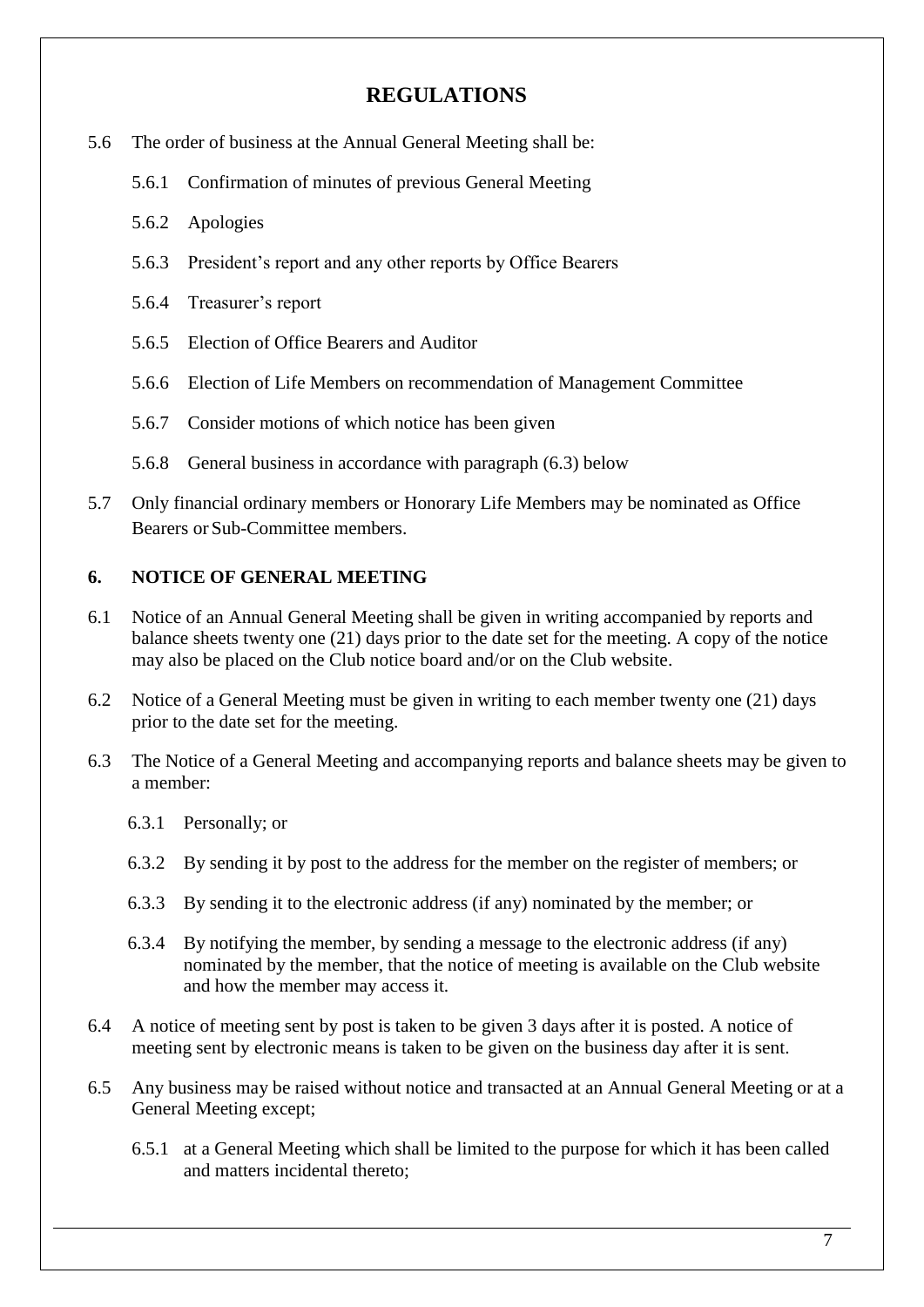- 5.6 The order of business at the Annual General Meeting shall be:
	- 5.6.1 Confirmation of minutes of previous General Meeting
	- 5.6.2 Apologies
	- 5.6.3 President's report and any other reports by Office Bearers
	- 5.6.4 Treasurer's report
	- 5.6.5 Election of Office Bearers and Auditor
	- 5.6.6 Election of Life Members on recommendation of Management Committee
	- 5.6.7 Consider motions of which notice has been given
	- 5.6.8 General business in accordance with paragraph (6.3) below
- 5.7 Only financial ordinary members or Honorary Life Members may be nominated as Office Bearers or Sub-Committee members.

#### **6. NOTICE OF GENERAL MEETING**

- 6.1 Notice of an Annual General Meeting shall be given in writing accompanied by reports and balance sheets twenty one (21) days prior to the date set for the meeting. A copy of the notice may also be placed on the Club notice board and/or on the Club website.
- 6.2 Notice of a General Meeting must be given in writing to each member twenty one (21) days prior to the date set for the meeting.
- 6.3 The Notice of a General Meeting and accompanying reports and balance sheets may be given to a member:
	- 6.3.1 Personally; or
	- 6.3.2 By sending it by post to the address for the member on the register of members; or
	- 6.3.3 By sending it to the electronic address (if any) nominated by the member; or
	- 6.3.4 By notifying the member, by sending a message to the electronic address (if any) nominated by the member, that the notice of meeting is available on the Club website and how the member may access it.
- 6.4 A notice of meeting sent by post is taken to be given 3 days after it is posted. A notice of meeting sent by electronic means is taken to be given on the business day after it is sent.
- 6.5 Any business may be raised without notice and transacted at an Annual General Meeting or at a General Meeting except;
	- 6.5.1 at a General Meeting which shall be limited to the purpose for which it has been called and matters incidental thereto;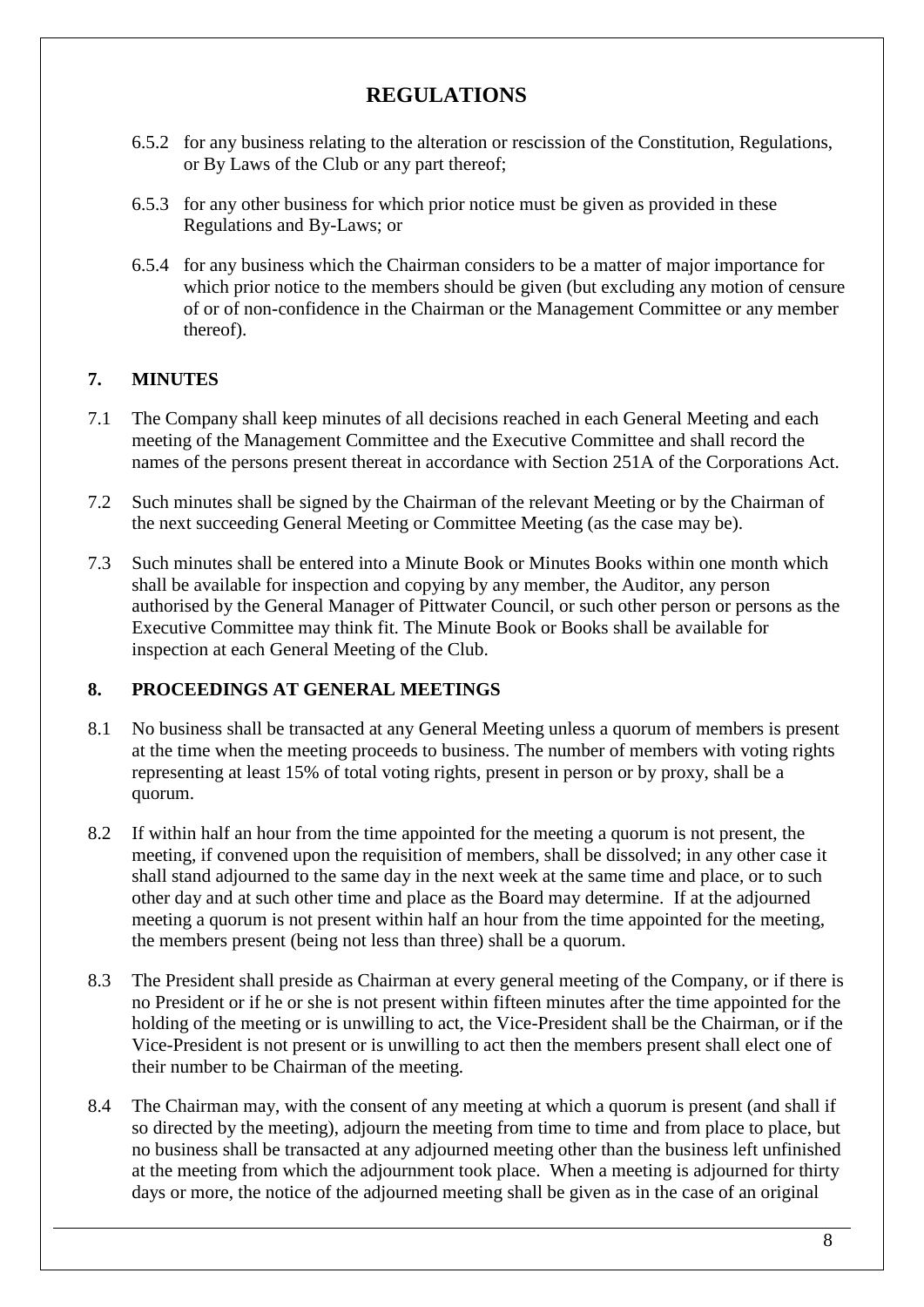- 6.5.2 for any business relating to the alteration or rescission of the Constitution, Regulations, or By Laws of the Club or any part thereof;
- 6.5.3 for any other business for which prior notice must be given as provided in these Regulations and By-Laws; or
- 6.5.4 for any business which the Chairman considers to be a matter of major importance for which prior notice to the members should be given (but excluding any motion of censure of or of non-confidence in the Chairman or the Management Committee or any member thereof).

### **7. MINUTES**

- 7.1 The Company shall keep minutes of all decisions reached in each General Meeting and each meeting of the Management Committee and the Executive Committee and shall record the names of the persons present thereat in accordance with Section 251A of the Corporations Act.
- 7.2 Such minutes shall be signed by the Chairman of the relevant Meeting or by the Chairman of the next succeeding General Meeting or Committee Meeting (as the case may be).
- 7.3 Such minutes shall be entered into a Minute Book or Minutes Books within one month which shall be available for inspection and copying by any member, the Auditor, any person authorised by the General Manager of Pittwater Council, or such other person or persons as the Executive Committee may think fit. The Minute Book or Books shall be available for inspection at each General Meeting of the Club.

### **8. PROCEEDINGS AT GENERAL MEETINGS**

- 8.1 No business shall be transacted at any General Meeting unless a quorum of members is present at the time when the meeting proceeds to business. The number of members with voting rights representing at least 15% of total voting rights, present in person or by proxy, shall be a quorum.
- 8.2 If within half an hour from the time appointed for the meeting a quorum is not present, the meeting, if convened upon the requisition of members, shall be dissolved; in any other case it shall stand adjourned to the same day in the next week at the same time and place, or to such other day and at such other time and place as the Board may determine. If at the adjourned meeting a quorum is not present within half an hour from the time appointed for the meeting, the members present (being not less than three) shall be a quorum.
- 8.3 The President shall preside as Chairman at every general meeting of the Company, or if there is no President or if he or she is not present within fifteen minutes after the time appointed for the holding of the meeting or is unwilling to act, the Vice-President shall be the Chairman, or if the Vice-President is not present or is unwilling to act then the members present shall elect one of their number to be Chairman of the meeting.
- 8.4 The Chairman may, with the consent of any meeting at which a quorum is present (and shall if so directed by the meeting), adjourn the meeting from time to time and from place to place, but no business shall be transacted at any adjourned meeting other than the business left unfinished at the meeting from which the adjournment took place. When a meeting is adjourned for thirty days or more, the notice of the adjourned meeting shall be given as in the case of an original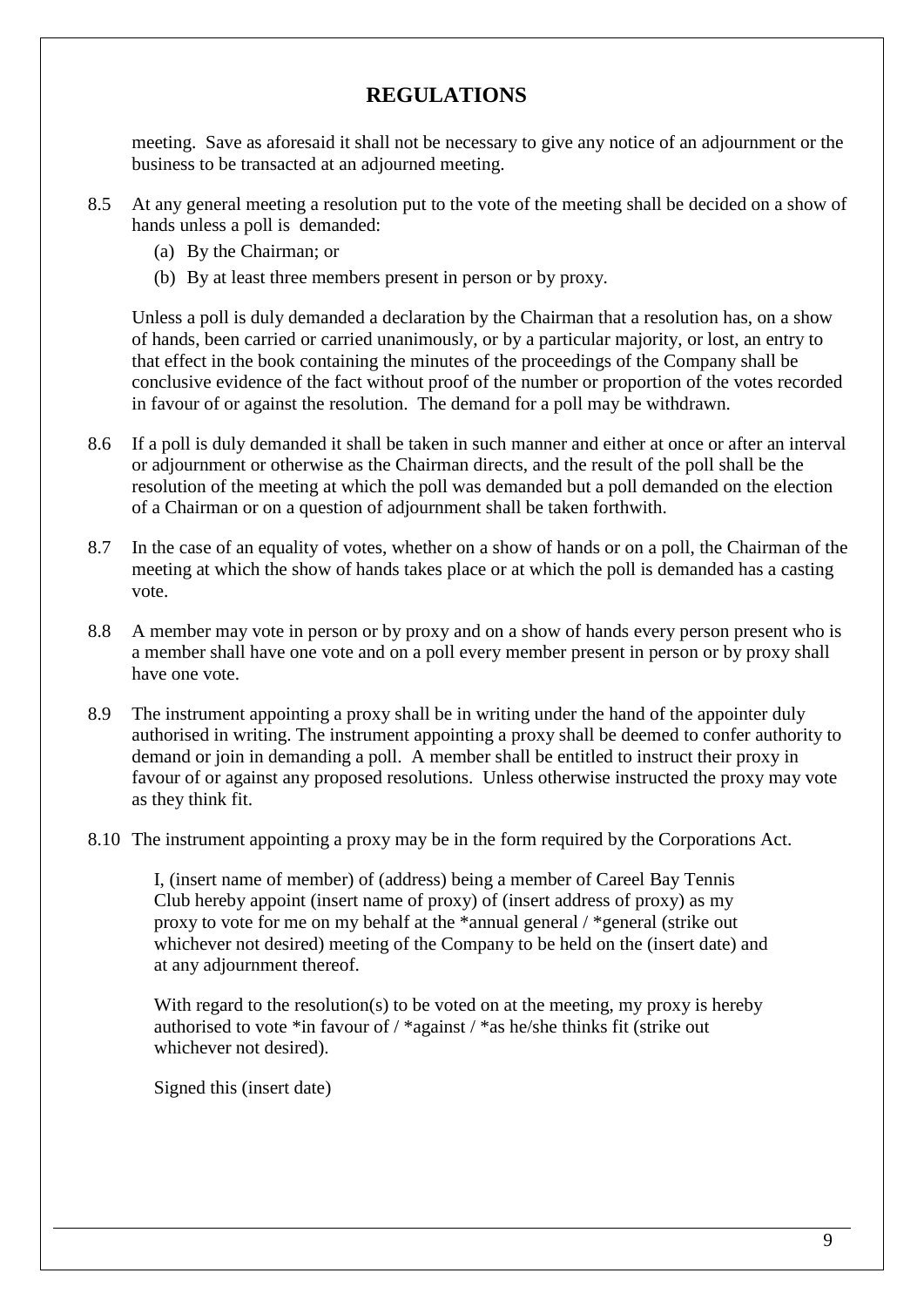meeting. Save as aforesaid it shall not be necessary to give any notice of an adjournment or the business to be transacted at an adjourned meeting.

- 8.5 At any general meeting a resolution put to the vote of the meeting shall be decided on a show of hands unless a poll is demanded:
	- (a) By the Chairman; or
	- (b) By at least three members present in person or by proxy.

Unless a poll is duly demanded a declaration by the Chairman that a resolution has, on a show of hands, been carried or carried unanimously, or by a particular majority, or lost, an entry to that effect in the book containing the minutes of the proceedings of the Company shall be conclusive evidence of the fact without proof of the number or proportion of the votes recorded in favour of or against the resolution. The demand for a poll may be withdrawn.

- 8.6 If a poll is duly demanded it shall be taken in such manner and either at once or after an interval or adjournment or otherwise as the Chairman directs, and the result of the poll shall be the resolution of the meeting at which the poll was demanded but a poll demanded on the election of a Chairman or on a question of adjournment shall be taken forthwith.
- 8.7 In the case of an equality of votes, whether on a show of hands or on a poll, the Chairman of the meeting at which the show of hands takes place or at which the poll is demanded has a casting vote.
- 8.8 A member may vote in person or by proxy and on a show of hands every person present who is a member shall have one vote and on a poll every member present in person or by proxy shall have one vote.
- 8.9 The instrument appointing a proxy shall be in writing under the hand of the appointer duly authorised in writing. The instrument appointing a proxy shall be deemed to confer authority to demand or join in demanding a poll. A member shall be entitled to instruct their proxy in favour of or against any proposed resolutions. Unless otherwise instructed the proxy may vote as they think fit.
- 8.10 The instrument appointing a proxy may be in the form required by the Corporations Act.

I, (insert name of member) of (address) being a member of Careel Bay Tennis Club hereby appoint (insert name of proxy) of (insert address of proxy) as my proxy to vote for me on my behalf at the \*annual general / \*general (strike out whichever not desired) meeting of the Company to be held on the (insert date) and at any adjournment thereof.

With regard to the resolution(s) to be voted on at the meeting, my proxy is hereby authorised to vote \*in favour of / \*against / \*as he/she thinks fit (strike out whichever not desired).

Signed this (insert date)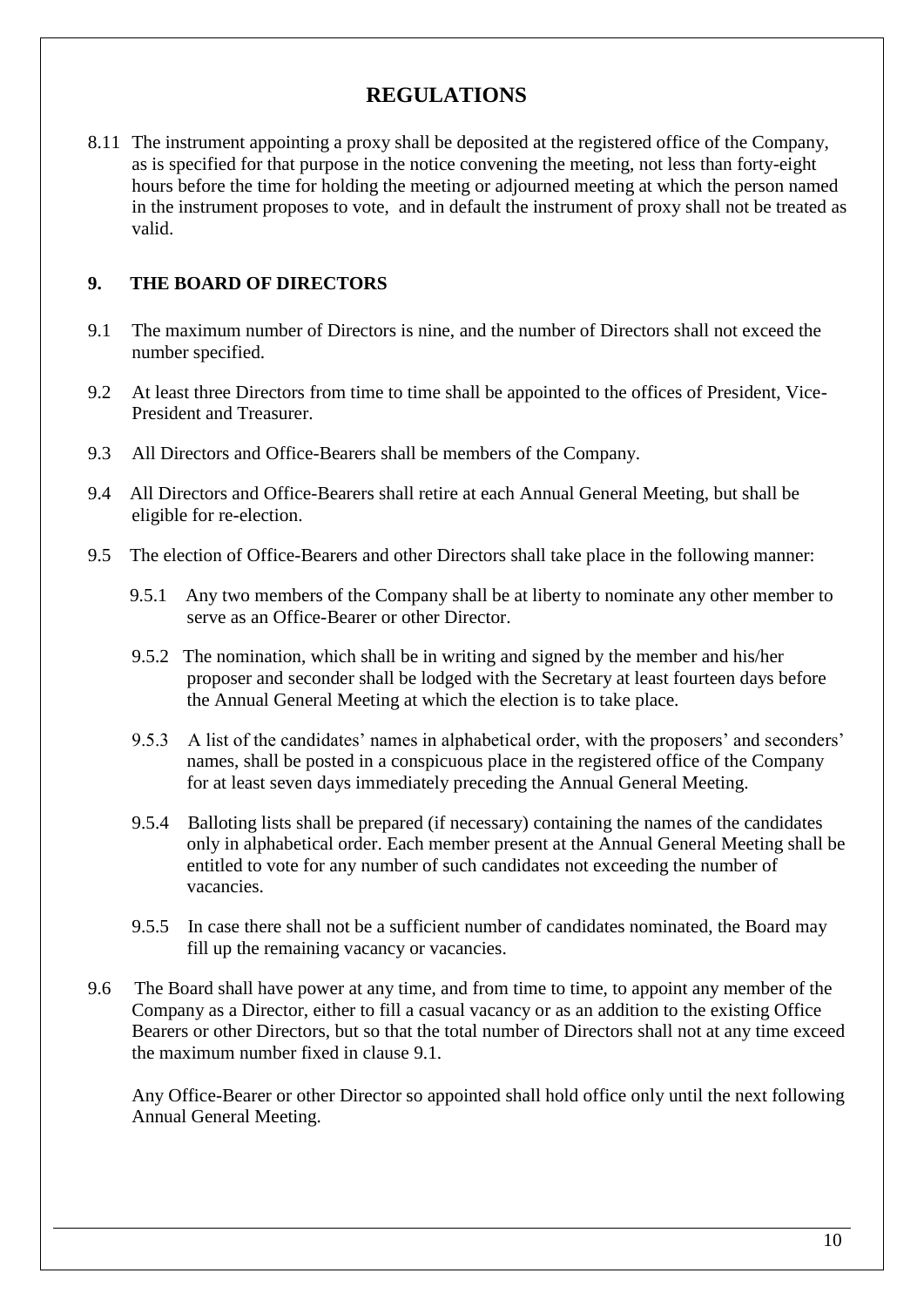8.11 The instrument appointing a proxy shall be deposited at the registered office of the Company, as is specified for that purpose in the notice convening the meeting, not less than forty-eight hours before the time for holding the meeting or adjourned meeting at which the person named in the instrument proposes to vote, and in default the instrument of proxy shall not be treated as valid.

#### **9. THE BOARD OF DIRECTORS**

- 9.1 The maximum number of Directors is nine, and the number of Directors shall not exceed the number specified.
- 9.2 At least three Directors from time to time shall be appointed to the offices of President, Vice-President and Treasurer.
- 9.3 All Directors and Office-Bearers shall be members of the Company.
- 9.4 All Directors and Office-Bearers shall retire at each Annual General Meeting, but shall be eligible for re-election.
- 9.5 The election of Office-Bearers and other Directors shall take place in the following manner:
	- 9.5.1 Any two members of the Company shall be at liberty to nominate any other member to serve as an Office-Bearer or other Director.
	- 9.5.2 The nomination, which shall be in writing and signed by the member and his/her proposer and seconder shall be lodged with the Secretary at least fourteen days before the Annual General Meeting at which the election is to take place.
	- 9.5.3 A list of the candidates' names in alphabetical order, with the proposers' and seconders' names, shall be posted in a conspicuous place in the registered office of the Company for at least seven days immediately preceding the Annual General Meeting.
	- 9.5.4 Balloting lists shall be prepared (if necessary) containing the names of the candidates only in alphabetical order. Each member present at the Annual General Meeting shall be entitled to vote for any number of such candidates not exceeding the number of vacancies.
	- 9.5.5 In case there shall not be a sufficient number of candidates nominated, the Board may fill up the remaining vacancy or vacancies.
- 9.6 The Board shall have power at any time, and from time to time, to appoint any member of the Company as a Director, either to fill a casual vacancy or as an addition to the existing Office Bearers or other Directors, but so that the total number of Directors shall not at any time exceed the maximum number fixed in clause 9.1.

Any Office-Bearer or other Director so appointed shall hold office only until the next following Annual General Meeting.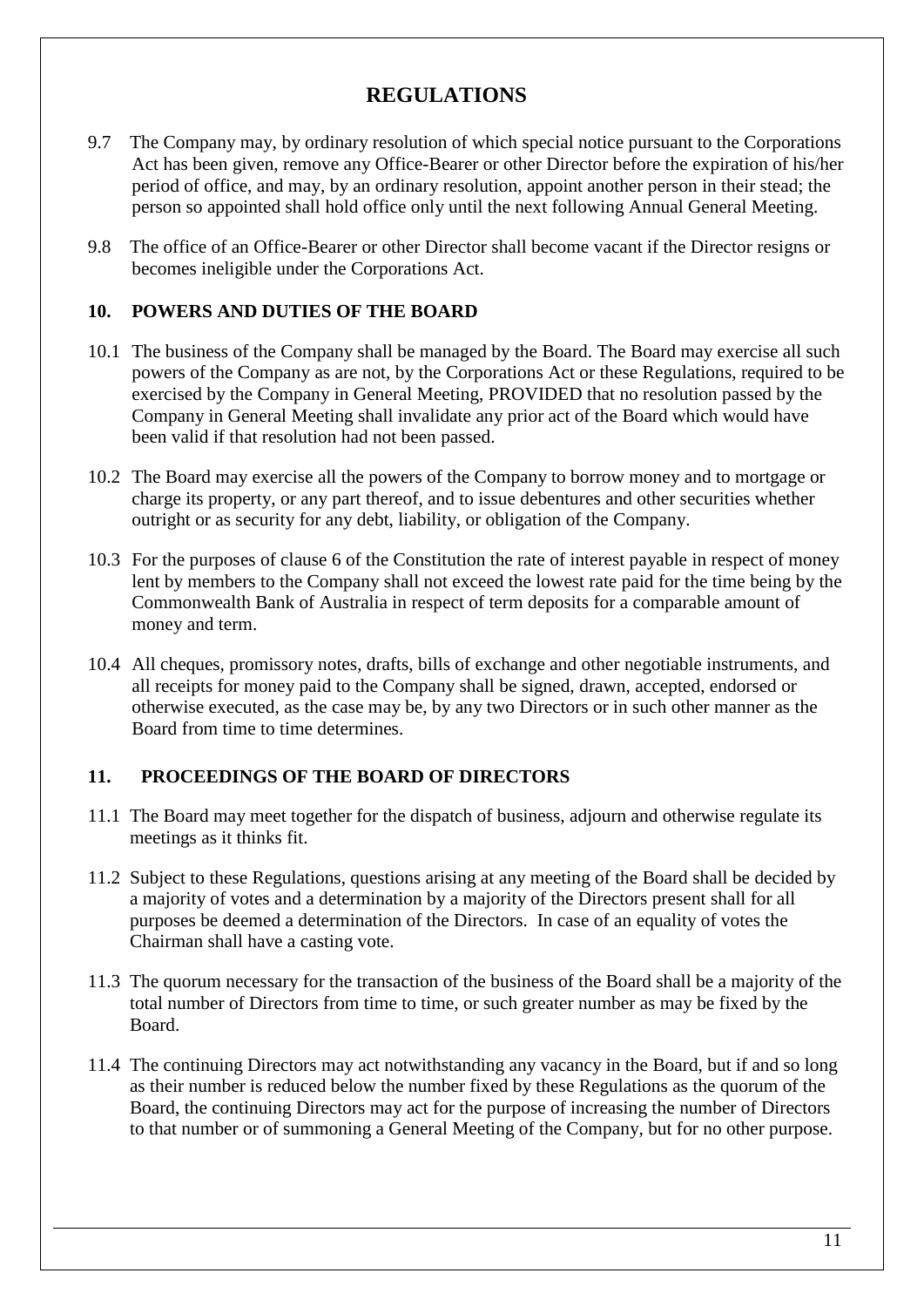- 9.7 The Company may, by ordinary resolution of which special notice pursuant to the Corporations Act has been given, remove any Office-Bearer or other Director before the expiration of his/her period of office, and may, by an ordinary resolution, appoint another person in their stead; the person so appointed shall hold office only until the next following Annual General Meeting.
- 9.8 The office of an Office-Bearer or other Director shall become vacant if the Director resigns or becomes ineligible under the Corporations Act.

### **10. POWERS AND DUTIES OF THE BOARD**

- 10.1 The business of the Company shall be managed by the Board. The Board may exercise all such powers of the Company as are not, by the Corporations Act or these Regulations, required to be exercised by the Company in General Meeting, PROVIDED that no resolution passed by the Company in General Meeting shall invalidate any prior act of the Board which would have been valid if that resolution had not been passed.
- 10.2 The Board may exercise all the powers of the Company to borrow money and to mortgage or charge its property, or any part thereof, and to issue debentures and other securities whether outright or as security for any debt, liability, or obligation of the Company.
- 10.3 For the purposes of clause 6 of the Constitution the rate of interest payable in respect of money lent by members to the Company shall not exceed the lowest rate paid for the time being by the Commonwealth Bank of Australia in respect of term deposits for a comparable amount of money and term.
- 10.4 All cheques, promissory notes, drafts, bills of exchange and other negotiable instruments, and all receipts for money paid to the Company shall be signed, drawn, accepted, endorsed or otherwise executed, as the case may be, by any two Directors or in such other manner as the Board from time to time determines.

### **11. PROCEEDINGS OF THE BOARD OF DIRECTORS**

- 11.1 The Board may meet together for the dispatch of business, adjourn and otherwise regulate its meetings as it thinks fit.
- 11.2 Subject to these Regulations, questions arising at any meeting of the Board shall be decided by a majority of votes and a determination by a majority of the Directors present shall for all purposes be deemed a determination of the Directors. In case of an equality of votes the Chairman shall have a casting vote.
- 11.3 The quorum necessary for the transaction of the business of the Board shall be a majority of the total number of Directors from time to time, or such greater number as may be fixed by the Board.
- 11.4 The continuing Directors may act notwithstanding any vacancy in the Board, but if and so long as their number is reduced below the number fixed by these Regulations as the quorum of the Board, the continuing Directors may act for the purpose of increasing the number of Directors to that number or of summoning a General Meeting of the Company, but for no other purpose.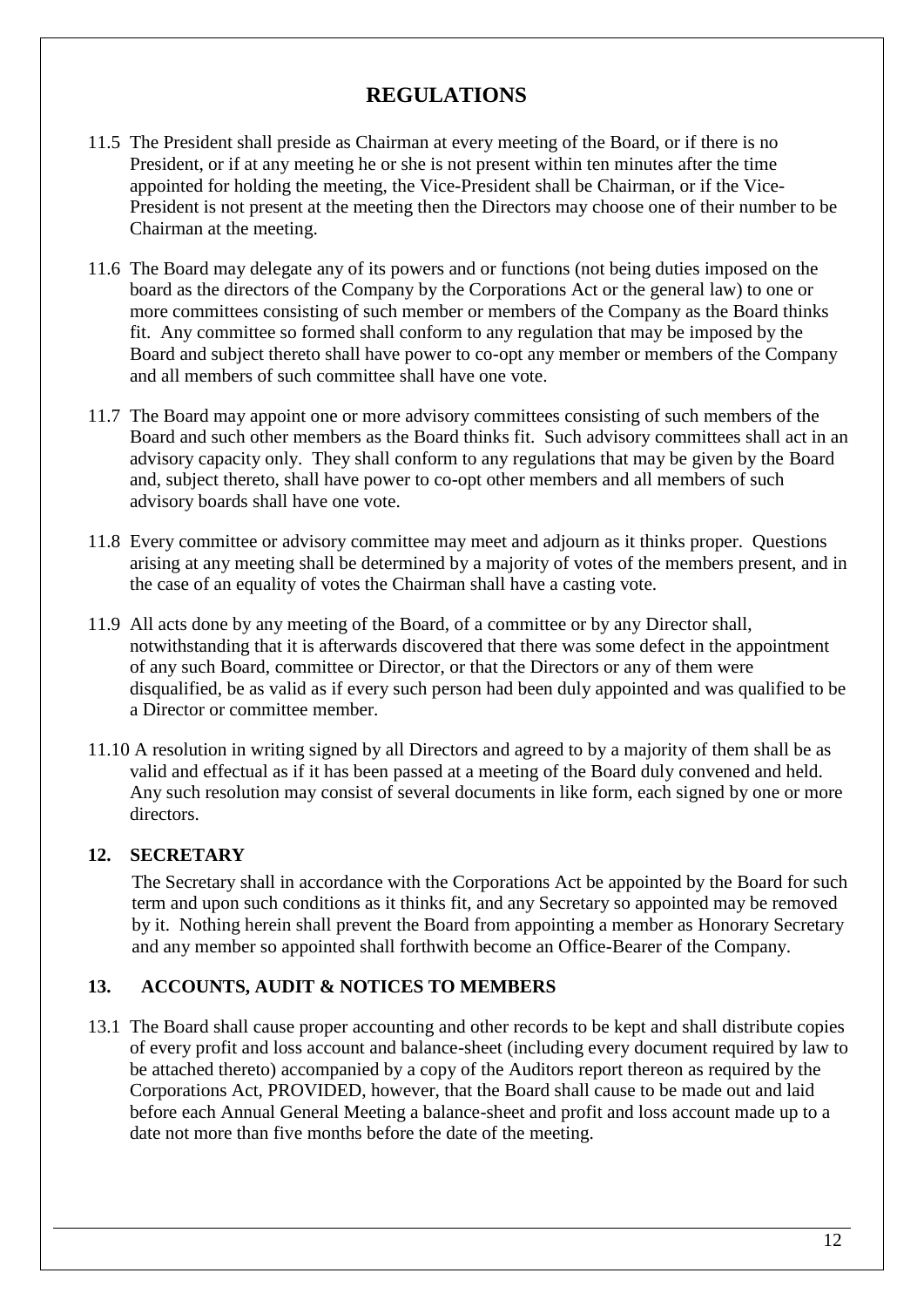- 11.5 The President shall preside as Chairman at every meeting of the Board, or if there is no President, or if at any meeting he or she is not present within ten minutes after the time appointed for holding the meeting, the Vice-President shall be Chairman, or if the Vice-President is not present at the meeting then the Directors may choose one of their number to be Chairman at the meeting.
- 11.6 The Board may delegate any of its powers and or functions (not being duties imposed on the board as the directors of the Company by the Corporations Act or the general law) to one or more committees consisting of such member or members of the Company as the Board thinks fit. Any committee so formed shall conform to any regulation that may be imposed by the Board and subject thereto shall have power to co-opt any member or members of the Company and all members of such committee shall have one vote.
- 11.7 The Board may appoint one or more advisory committees consisting of such members of the Board and such other members as the Board thinks fit. Such advisory committees shall act in an advisory capacity only. They shall conform to any regulations that may be given by the Board and, subject thereto, shall have power to co-opt other members and all members of such advisory boards shall have one vote.
- 11.8 Every committee or advisory committee may meet and adjourn as it thinks proper. Questions arising at any meeting shall be determined by a majority of votes of the members present, and in the case of an equality of votes the Chairman shall have a casting vote.
- 11.9 All acts done by any meeting of the Board, of a committee or by any Director shall, notwithstanding that it is afterwards discovered that there was some defect in the appointment of any such Board, committee or Director, or that the Directors or any of them were disqualified, be as valid as if every such person had been duly appointed and was qualified to be a Director or committee member.
- 11.10 A resolution in writing signed by all Directors and agreed to by a majority of them shall be as valid and effectual as if it has been passed at a meeting of the Board duly convened and held. Any such resolution may consist of several documents in like form, each signed by one or more directors.

### **12. SECRETARY**

The Secretary shall in accordance with the Corporations Act be appointed by the Board for such term and upon such conditions as it thinks fit, and any Secretary so appointed may be removed by it. Nothing herein shall prevent the Board from appointing a member as Honorary Secretary and any member so appointed shall forthwith become an Office-Bearer of the Company.

#### **13. ACCOUNTS, AUDIT & NOTICES TO MEMBERS**

13.1 The Board shall cause proper accounting and other records to be kept and shall distribute copies of every profit and loss account and balance-sheet (including every document required by law to be attached thereto) accompanied by a copy of the Auditors report thereon as required by the Corporations Act, PROVIDED, however, that the Board shall cause to be made out and laid before each Annual General Meeting a balance-sheet and profit and loss account made up to a date not more than five months before the date of the meeting.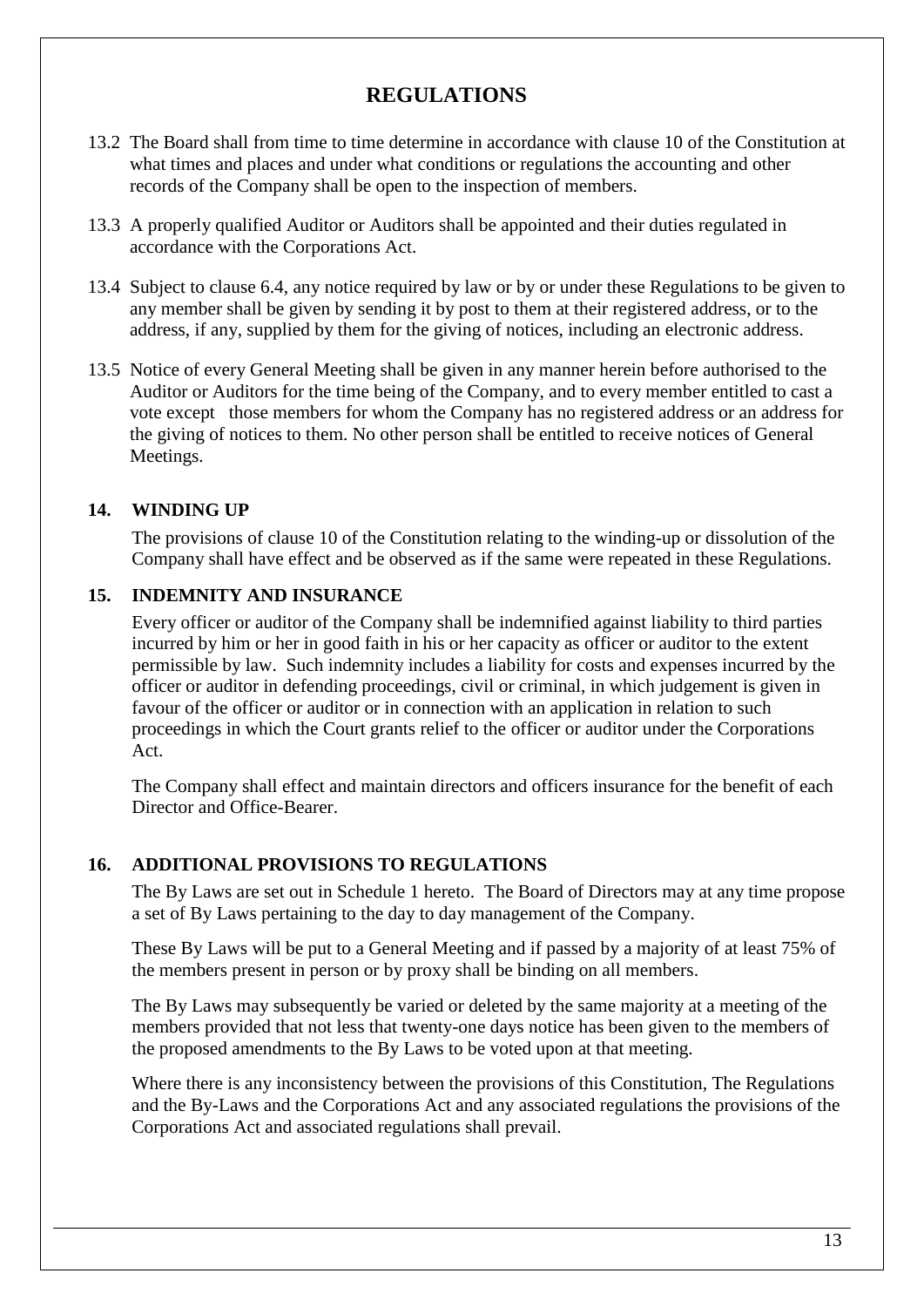- 13.2 The Board shall from time to time determine in accordance with clause 10 of the Constitution at what times and places and under what conditions or regulations the accounting and other records of the Company shall be open to the inspection of members.
- 13.3 A properly qualified Auditor or Auditors shall be appointed and their duties regulated in accordance with the Corporations Act.
- 13.4 Subject to clause 6.4, any notice required by law or by or under these Regulations to be given to any member shall be given by sending it by post to them at their registered address, or to the address, if any, supplied by them for the giving of notices, including an electronic address.
- 13.5 Notice of every General Meeting shall be given in any manner herein before authorised to the Auditor or Auditors for the time being of the Company, and to every member entitled to cast a vote except those members for whom the Company has no registered address or an address for the giving of notices to them. No other person shall be entitled to receive notices of General Meetings.

### **14. WINDING UP**

The provisions of clause 10 of the Constitution relating to the winding-up or dissolution of the Company shall have effect and be observed as if the same were repeated in these Regulations.

#### **15. INDEMNITY AND INSURANCE**

Every officer or auditor of the Company shall be indemnified against liability to third parties incurred by him or her in good faith in his or her capacity as officer or auditor to the extent permissible by law. Such indemnity includes a liability for costs and expenses incurred by the officer or auditor in defending proceedings, civil or criminal, in which judgement is given in favour of the officer or auditor or in connection with an application in relation to such proceedings in which the Court grants relief to the officer or auditor under the Corporations Act.

The Company shall effect and maintain directors and officers insurance for the benefit of each Director and Office-Bearer.

#### **16. ADDITIONAL PROVISIONS TO REGULATIONS**

The By Laws are set out in Schedule 1 hereto. The Board of Directors may at any time propose a set of By Laws pertaining to the day to day management of the Company.

These By Laws will be put to a General Meeting and if passed by a majority of at least 75% of the members present in person or by proxy shall be binding on all members.

The By Laws may subsequently be varied or deleted by the same majority at a meeting of the members provided that not less that twenty-one days notice has been given to the members of the proposed amendments to the By Laws to be voted upon at that meeting.

Where there is any inconsistency between the provisions of this Constitution, The Regulations and the By-Laws and the Corporations Act and any associated regulations the provisions of the Corporations Act and associated regulations shall prevail.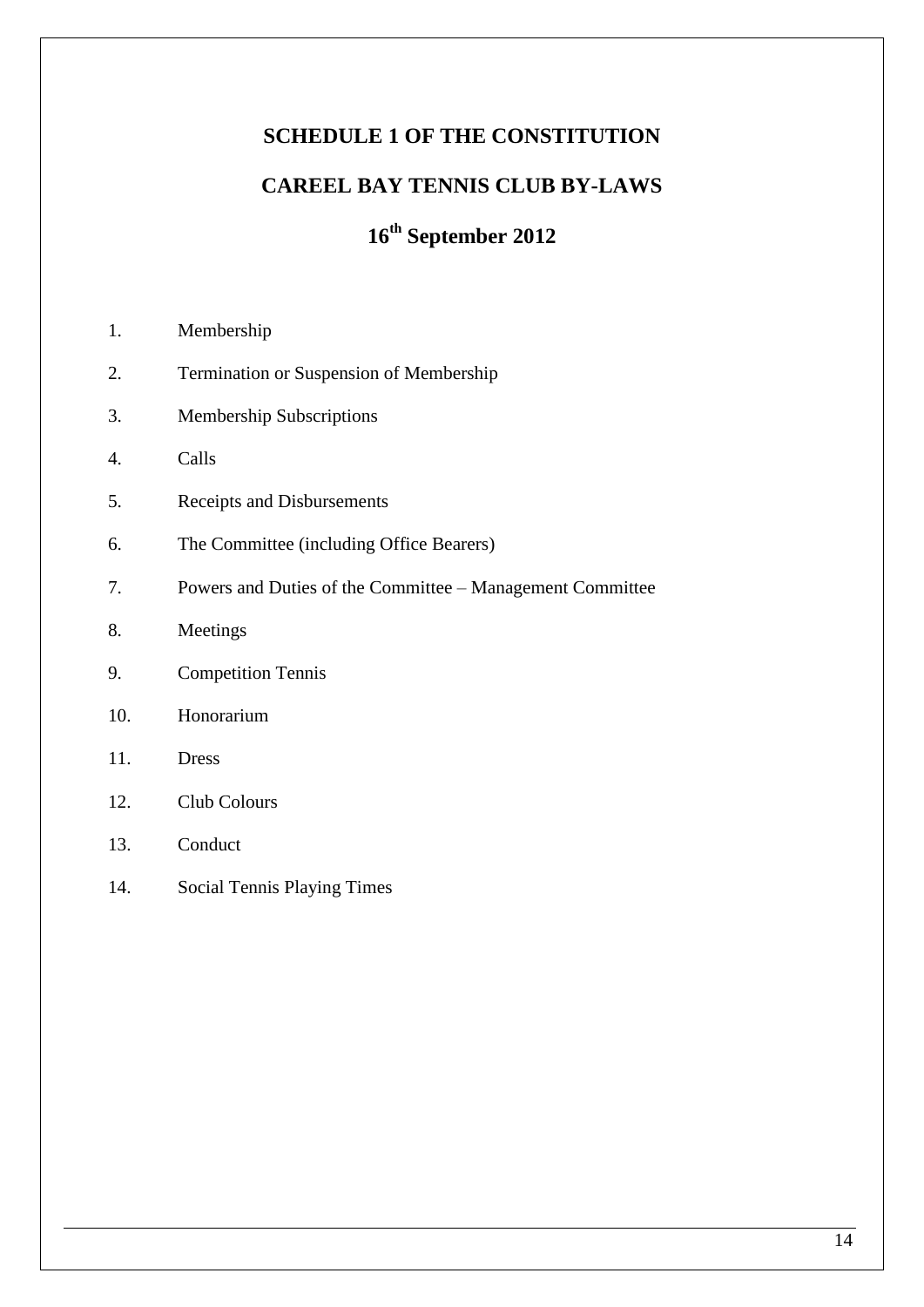# **SCHEDULE 1 OF THE CONSTITUTION**

# **CAREEL BAY TENNIS CLUB BY-LAWS**

# **16th September 2012**

- 1. Membership
- 2. Termination or Suspension of Membership
- 3. Membership Subscriptions
- 4. Calls
- 5. Receipts and Disbursements
- 6. The Committee (including Office Bearers)
- 7. Powers and Duties of the Committee Management Committee
- 8. Meetings
- 9. Competition Tennis
- 10. Honorarium
- 11. Dress
- 12. Club Colours
- 13. Conduct
- 14. Social Tennis Playing Times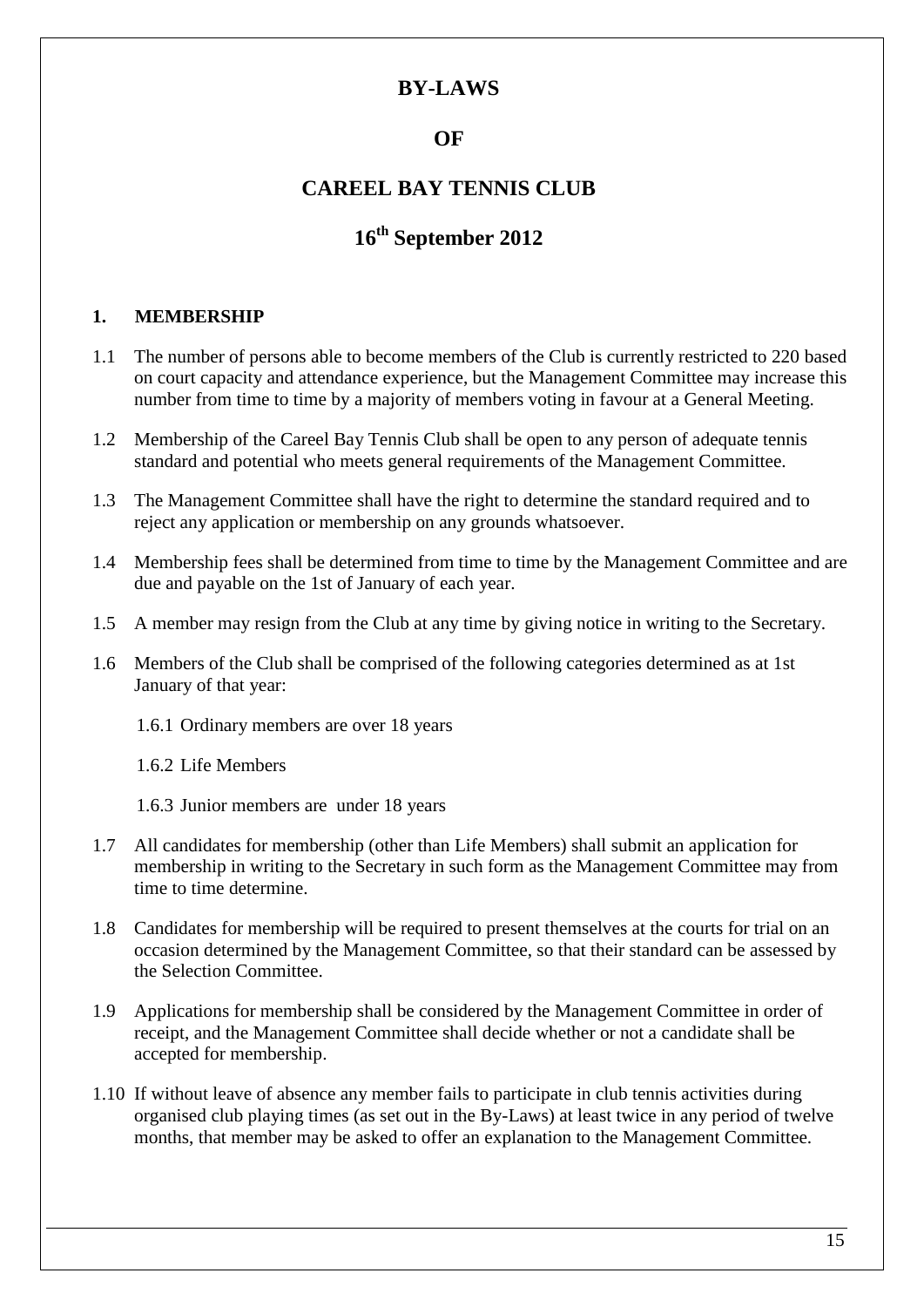## **OF**

# **CAREEL BAY TENNIS CLUB**

# **16th September 2012**

#### **1. MEMBERSHIP**

- 1.1 The number of persons able to become members of the Club is currently restricted to 220 based on court capacity and attendance experience, but the Management Committee may increase this number from time to time by a majority of members voting in favour at a General Meeting.
- 1.2 Membership of the Careel Bay Tennis Club shall be open to any person of adequate tennis standard and potential who meets general requirements of the Management Committee.
- 1.3 The Management Committee shall have the right to determine the standard required and to reject any application or membership on any grounds whatsoever.
- 1.4 Membership fees shall be determined from time to time by the Management Committee and are due and payable on the 1st of January of each year.
- 1.5 A member may resign from the Club at any time by giving notice in writing to the Secretary.
- 1.6 Members of the Club shall be comprised of the following categories determined as at 1st January of that year:
	- 1.6.1 Ordinary members are over 18 years

1.6.2 Life Members

- 1.6.3 Junior members are under 18 years
- 1.7 All candidates for membership (other than Life Members) shall submit an application for membership in writing to the Secretary in such form as the Management Committee may from time to time determine.
- 1.8 Candidates for membership will be required to present themselves at the courts for trial on an occasion determined by the Management Committee, so that their standard can be assessed by the Selection Committee.
- 1.9 Applications for membership shall be considered by the Management Committee in order of receipt, and the Management Committee shall decide whether or not a candidate shall be accepted for membership.
- 1.10 If without leave of absence any member fails to participate in club tennis activities during organised club playing times (as set out in the By-Laws) at least twice in any period of twelve months, that member may be asked to offer an explanation to the Management Committee.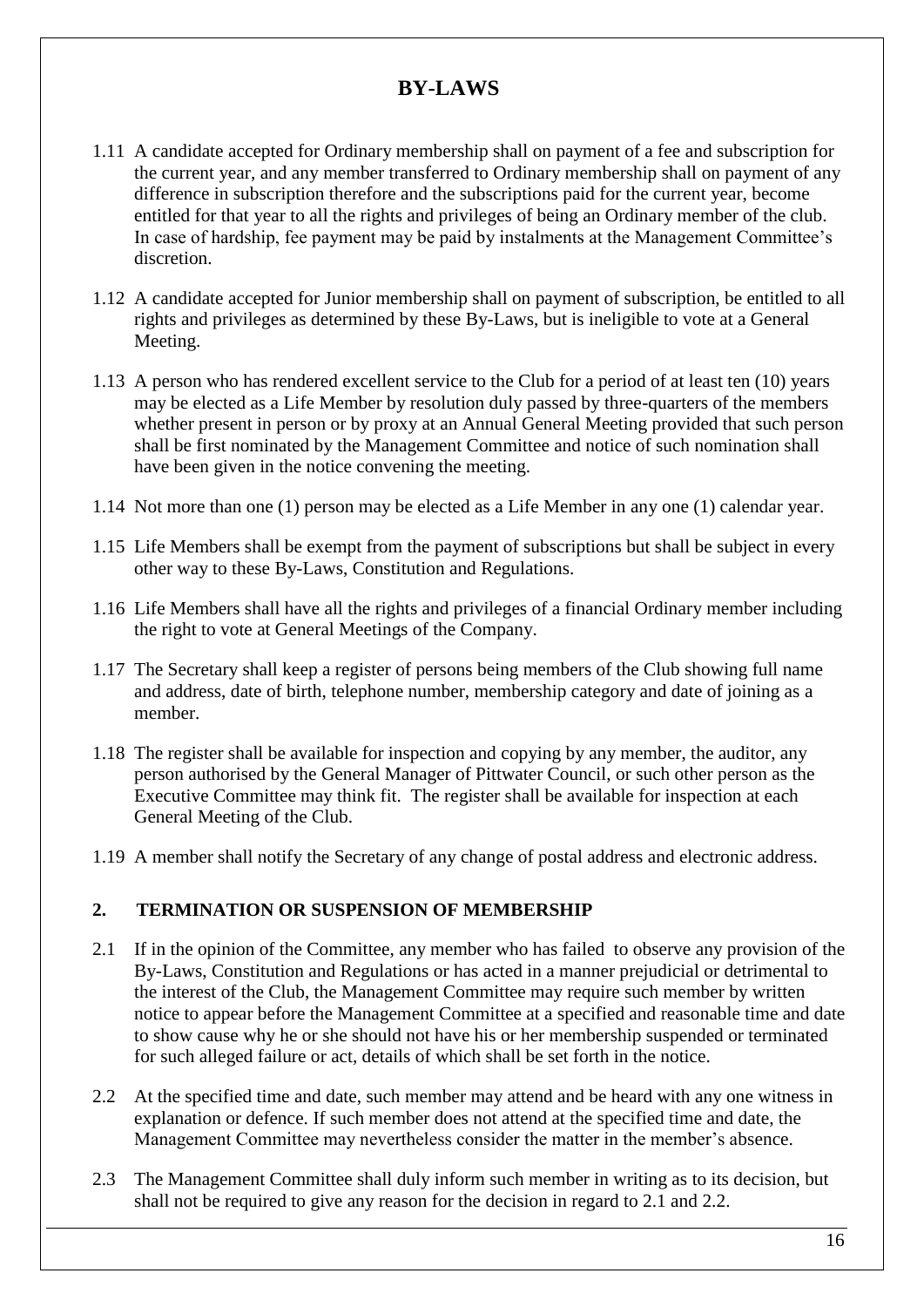- 1.11 A candidate accepted for Ordinary membership shall on payment of a fee and subscription for the current year, and any member transferred to Ordinary membership shall on payment of any difference in subscription therefore and the subscriptions paid for the current year, become entitled for that year to all the rights and privileges of being an Ordinary member of the club. In case of hardship, fee payment may be paid by instalments at the Management Committee's discretion.
- 1.12 A candidate accepted for Junior membership shall on payment of subscription, be entitled to all rights and privileges as determined by these By-Laws, but is ineligible to vote at a General Meeting.
- 1.13 A person who has rendered excellent service to the Club for a period of at least ten (10) years may be elected as a Life Member by resolution duly passed by three-quarters of the members whether present in person or by proxy at an Annual General Meeting provided that such person shall be first nominated by the Management Committee and notice of such nomination shall have been given in the notice convening the meeting.
- 1.14 Not more than one (1) person may be elected as a Life Member in any one (1) calendar year.
- 1.15 Life Members shall be exempt from the payment of subscriptions but shall be subject in every other way to these By-Laws, Constitution and Regulations.
- 1.16 Life Members shall have all the rights and privileges of a financial Ordinary member including the right to vote at General Meetings of the Company.
- 1.17 The Secretary shall keep a register of persons being members of the Club showing full name and address, date of birth, telephone number, membership category and date of joining as a member.
- 1.18 The register shall be available for inspection and copying by any member, the auditor, any person authorised by the General Manager of Pittwater Council, or such other person as the Executive Committee may think fit. The register shall be available for inspection at each General Meeting of the Club.
- 1.19 A member shall notify the Secretary of any change of postal address and electronic address.

### **2. TERMINATION OR SUSPENSION OF MEMBERSHIP**

- 2.1 If in the opinion of the Committee, any member who has failed to observe any provision of the By-Laws, Constitution and Regulations or has acted in a manner prejudicial or detrimental to the interest of the Club, the Management Committee may require such member by written notice to appear before the Management Committee at a specified and reasonable time and date to show cause why he or she should not have his or her membership suspended or terminated for such alleged failure or act, details of which shall be set forth in the notice.
- 2.2 At the specified time and date, such member may attend and be heard with any one witness in explanation or defence. If such member does not attend at the specified time and date, the Management Committee may nevertheless consider the matter in the member's absence.
- 2.3 The Management Committee shall duly inform such member in writing as to its decision, but shall not be required to give any reason for the decision in regard to 2.1 and 2.2.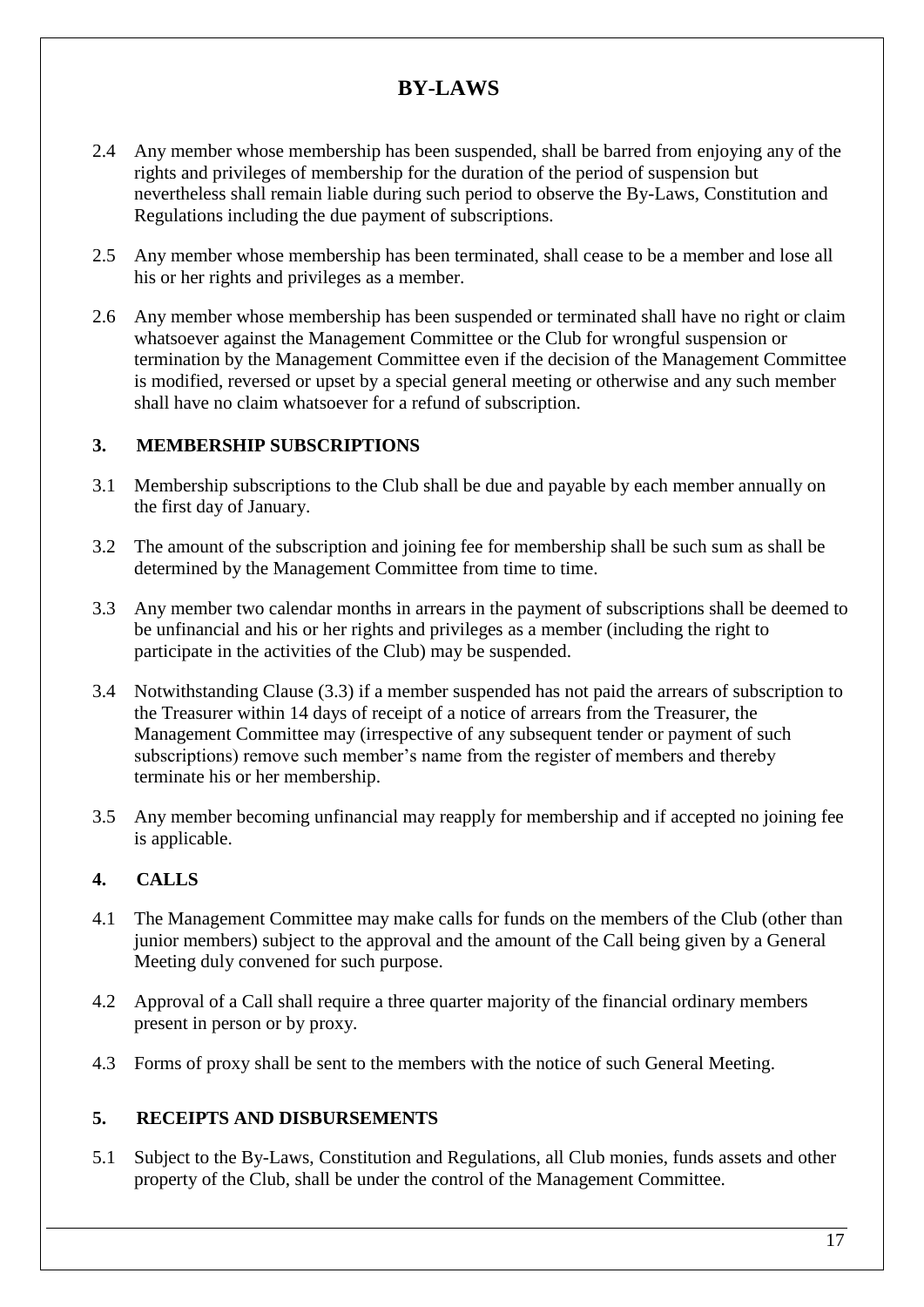- 2.4 Any member whose membership has been suspended, shall be barred from enjoying any of the rights and privileges of membership for the duration of the period of suspension but nevertheless shall remain liable during such period to observe the By-Laws, Constitution and Regulations including the due payment of subscriptions.
- 2.5 Any member whose membership has been terminated, shall cease to be a member and lose all his or her rights and privileges as a member.
- 2.6 Any member whose membership has been suspended or terminated shall have no right or claim whatsoever against the Management Committee or the Club for wrongful suspension or termination by the Management Committee even if the decision of the Management Committee is modified, reversed or upset by a special general meeting or otherwise and any such member shall have no claim whatsoever for a refund of subscription.

### **3. MEMBERSHIP SUBSCRIPTIONS**

- 3.1 Membership subscriptions to the Club shall be due and payable by each member annually on the first day of January.
- 3.2 The amount of the subscription and joining fee for membership shall be such sum as shall be determined by the Management Committee from time to time.
- 3.3 Any member two calendar months in arrears in the payment of subscriptions shall be deemed to be unfinancial and his or her rights and privileges as a member (including the right to participate in the activities of the Club) may be suspended.
- 3.4 Notwithstanding Clause (3.3) if a member suspended has not paid the arrears of subscription to the Treasurer within 14 days of receipt of a notice of arrears from the Treasurer, the Management Committee may (irrespective of any subsequent tender or payment of such subscriptions) remove such member's name from the register of members and thereby terminate his or her membership.
- 3.5 Any member becoming unfinancial may reapply for membership and if accepted no joining fee is applicable.

### **4. CALLS**

- 4.1 The Management Committee may make calls for funds on the members of the Club (other than junior members) subject to the approval and the amount of the Call being given by a General Meeting duly convened for such purpose.
- 4.2 Approval of a Call shall require a three quarter majority of the financial ordinary members present in person or by proxy.
- 4.3 Forms of proxy shall be sent to the members with the notice of such General Meeting.

### **5. RECEIPTS AND DISBURSEMENTS**

5.1 Subject to the By-Laws, Constitution and Regulations, all Club monies, funds assets and other property of the Club, shall be under the control of the Management Committee.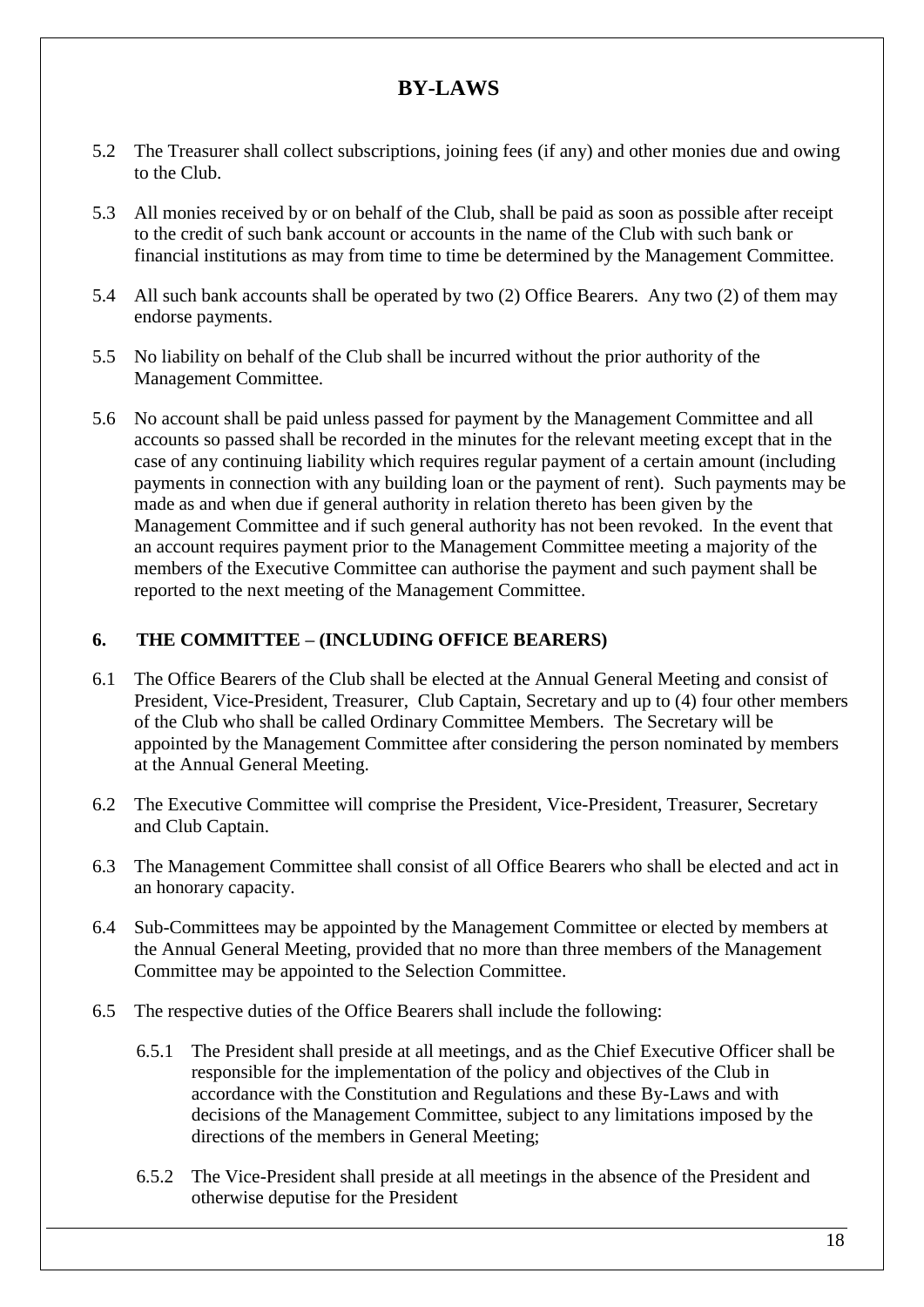- 5.2 The Treasurer shall collect subscriptions, joining fees (if any) and other monies due and owing to the Club.
- 5.3 All monies received by or on behalf of the Club, shall be paid as soon as possible after receipt to the credit of such bank account or accounts in the name of the Club with such bank or financial institutions as may from time to time be determined by the Management Committee.
- 5.4 All such bank accounts shall be operated by two (2) Office Bearers. Any two (2) of them may endorse payments.
- 5.5 No liability on behalf of the Club shall be incurred without the prior authority of the Management Committee.
- 5.6 No account shall be paid unless passed for payment by the Management Committee and all accounts so passed shall be recorded in the minutes for the relevant meeting except that in the case of any continuing liability which requires regular payment of a certain amount (including payments in connection with any building loan or the payment of rent). Such payments may be made as and when due if general authority in relation thereto has been given by the Management Committee and if such general authority has not been revoked. In the event that an account requires payment prior to the Management Committee meeting a majority of the members of the Executive Committee can authorise the payment and such payment shall be reported to the next meeting of the Management Committee.

### **6. THE COMMITTEE – (INCLUDING OFFICE BEARERS)**

- 6.1 The Office Bearers of the Club shall be elected at the Annual General Meeting and consist of President, Vice-President, Treasurer, Club Captain, Secretary and up to (4) four other members of the Club who shall be called Ordinary Committee Members. The Secretary will be appointed by the Management Committee after considering the person nominated by members at the Annual General Meeting.
- 6.2 The Executive Committee will comprise the President, Vice-President, Treasurer, Secretary and Club Captain.
- 6.3 The Management Committee shall consist of all Office Bearers who shall be elected and act in an honorary capacity.
- 6.4 Sub-Committees may be appointed by the Management Committee or elected by members at the Annual General Meeting, provided that no more than three members of the Management Committee may be appointed to the Selection Committee.
- 6.5 The respective duties of the Office Bearers shall include the following:
	- 6.5.1 The President shall preside at all meetings, and as the Chief Executive Officer shall be responsible for the implementation of the policy and objectives of the Club in accordance with the Constitution and Regulations and these By-Laws and with decisions of the Management Committee, subject to any limitations imposed by the directions of the members in General Meeting;
	- 6.5.2 The Vice-President shall preside at all meetings in the absence of the President and otherwise deputise for the President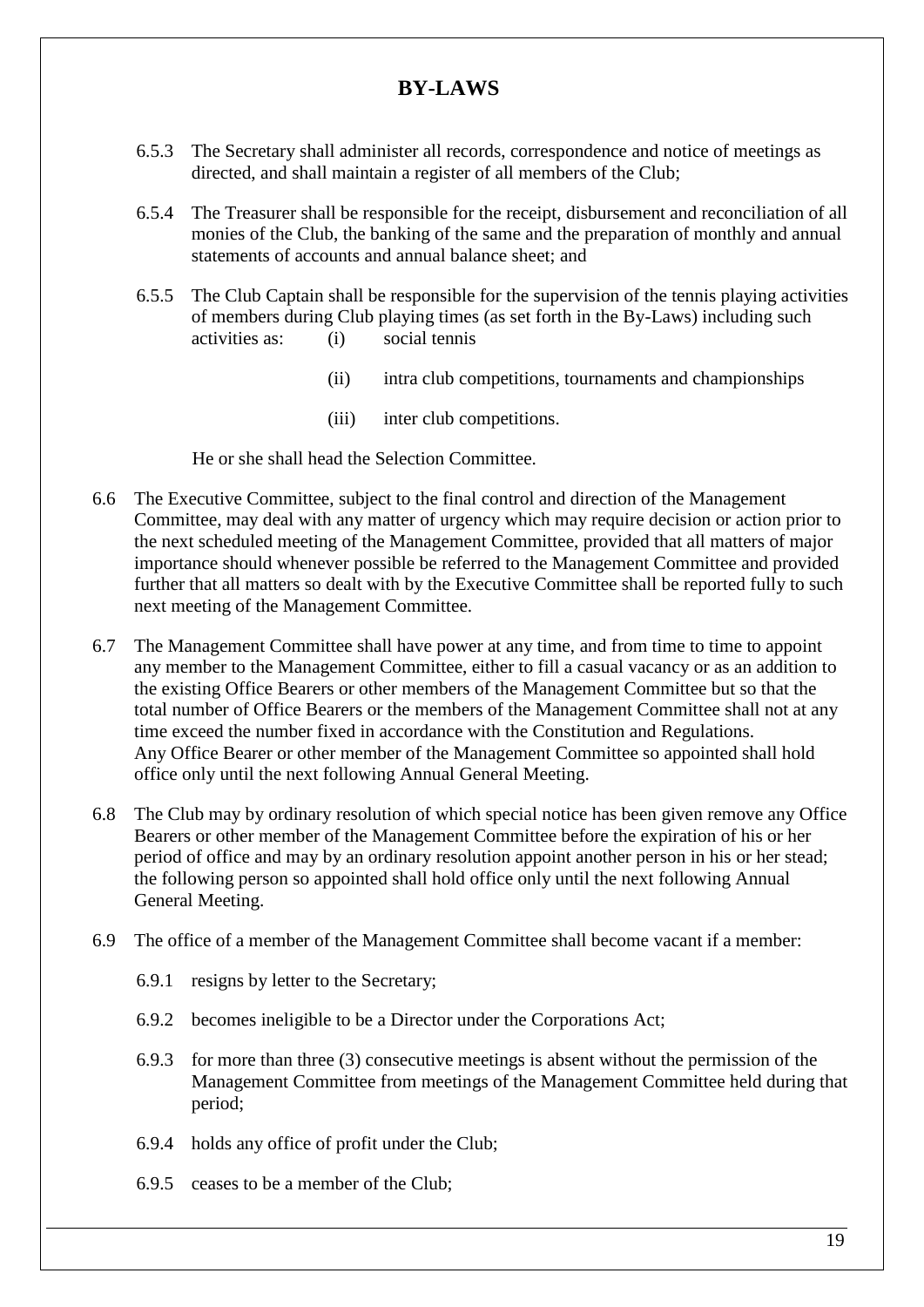- 6.5.3 The Secretary shall administer all records, correspondence and notice of meetings as directed, and shall maintain a register of all members of the Club;
- 6.5.4 The Treasurer shall be responsible for the receipt, disbursement and reconciliation of all monies of the Club, the banking of the same and the preparation of monthly and annual statements of accounts and annual balance sheet; and
- 6.5.5 The Club Captain shall be responsible for the supervision of the tennis playing activities of members during Club playing times (as set forth in the By-Laws) including such activities as: (i) social tennis
	- (ii) intra club competitions, tournaments and championships
	- (iii) inter club competitions.

He or she shall head the Selection Committee.

- 6.6 The Executive Committee, subject to the final control and direction of the Management Committee, may deal with any matter of urgency which may require decision or action prior to the next scheduled meeting of the Management Committee, provided that all matters of major importance should whenever possible be referred to the Management Committee and provided further that all matters so dealt with by the Executive Committee shall be reported fully to such next meeting of the Management Committee.
- 6.7 The Management Committee shall have power at any time, and from time to time to appoint any member to the Management Committee, either to fill a casual vacancy or as an addition to the existing Office Bearers or other members of the Management Committee but so that the total number of Office Bearers or the members of the Management Committee shall not at any time exceed the number fixed in accordance with the Constitution and Regulations. Any Office Bearer or other member of the Management Committee so appointed shall hold office only until the next following Annual General Meeting.
- 6.8 The Club may by ordinary resolution of which special notice has been given remove any Office Bearers or other member of the Management Committee before the expiration of his or her period of office and may by an ordinary resolution appoint another person in his or her stead; the following person so appointed shall hold office only until the next following Annual General Meeting.
- 6.9 The office of a member of the Management Committee shall become vacant if a member:
	- 6.9.1 resigns by letter to the Secretary;
	- 6.9.2 becomes ineligible to be a Director under the Corporations Act;
	- 6.9.3 for more than three (3) consecutive meetings is absent without the permission of the Management Committee from meetings of the Management Committee held during that period;
	- 6.9.4 holds any office of profit under the Club;
	- 6.9.5 ceases to be a member of the Club;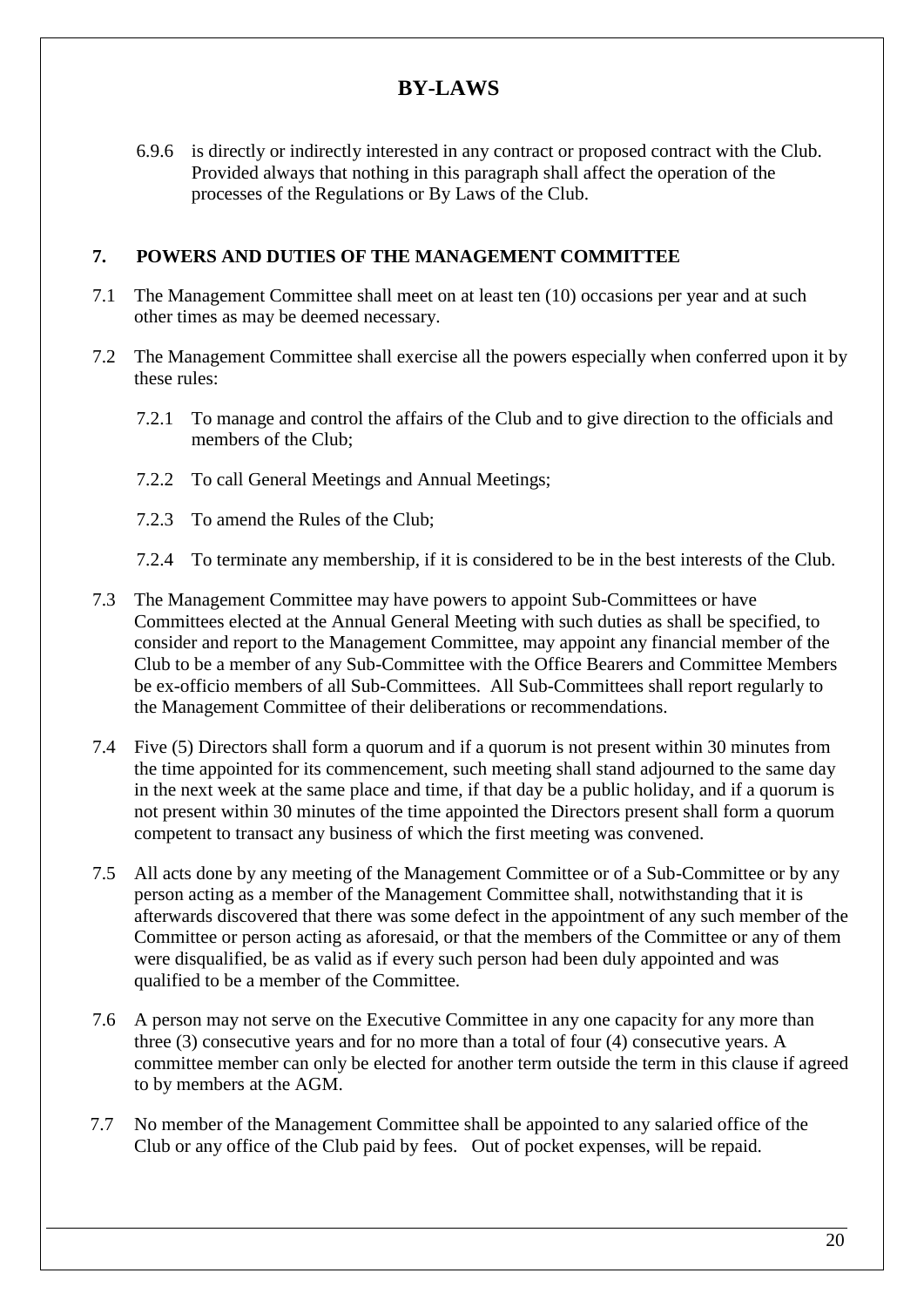6.9.6 is directly or indirectly interested in any contract or proposed contract with the Club. Provided always that nothing in this paragraph shall affect the operation of the processes of the Regulations or By Laws of the Club.

### **7. POWERS AND DUTIES OF THE MANAGEMENT COMMITTEE**

- 7.1 The Management Committee shall meet on at least ten (10) occasions per year and at such other times as may be deemed necessary.
- 7.2 The Management Committee shall exercise all the powers especially when conferred upon it by these rules:
	- 7.2.1 To manage and control the affairs of the Club and to give direction to the officials and members of the Club;
	- 7.2.2 To call General Meetings and Annual Meetings;
	- 7.2.3 To amend the Rules of the Club;
	- 7.2.4 To terminate any membership, if it is considered to be in the best interests of the Club.
- 7.3 The Management Committee may have powers to appoint Sub-Committees or have Committees elected at the Annual General Meeting with such duties as shall be specified, to consider and report to the Management Committee, may appoint any financial member of the Club to be a member of any Sub-Committee with the Office Bearers and Committee Members be ex-officio members of all Sub-Committees. All Sub-Committees shall report regularly to the Management Committee of their deliberations or recommendations.
- 7.4 Five (5) Directors shall form a quorum and if a quorum is not present within 30 minutes from the time appointed for its commencement, such meeting shall stand adjourned to the same day in the next week at the same place and time, if that day be a public holiday, and if a quorum is not present within 30 minutes of the time appointed the Directors present shall form a quorum competent to transact any business of which the first meeting was convened.
- 7.5 All acts done by any meeting of the Management Committee or of a Sub-Committee or by any person acting as a member of the Management Committee shall, notwithstanding that it is afterwards discovered that there was some defect in the appointment of any such member of the Committee or person acting as aforesaid, or that the members of the Committee or any of them were disqualified, be as valid as if every such person had been duly appointed and was qualified to be a member of the Committee.
- 7.6 A person may not serve on the Executive Committee in any one capacity for any more than three (3) consecutive years and for no more than a total of four (4) consecutive years. A committee member can only be elected for another term outside the term in this clause if agreed to by members at the AGM.
- 7.7 No member of the Management Committee shall be appointed to any salaried office of the Club or any office of the Club paid by fees. Out of pocket expenses, will be repaid.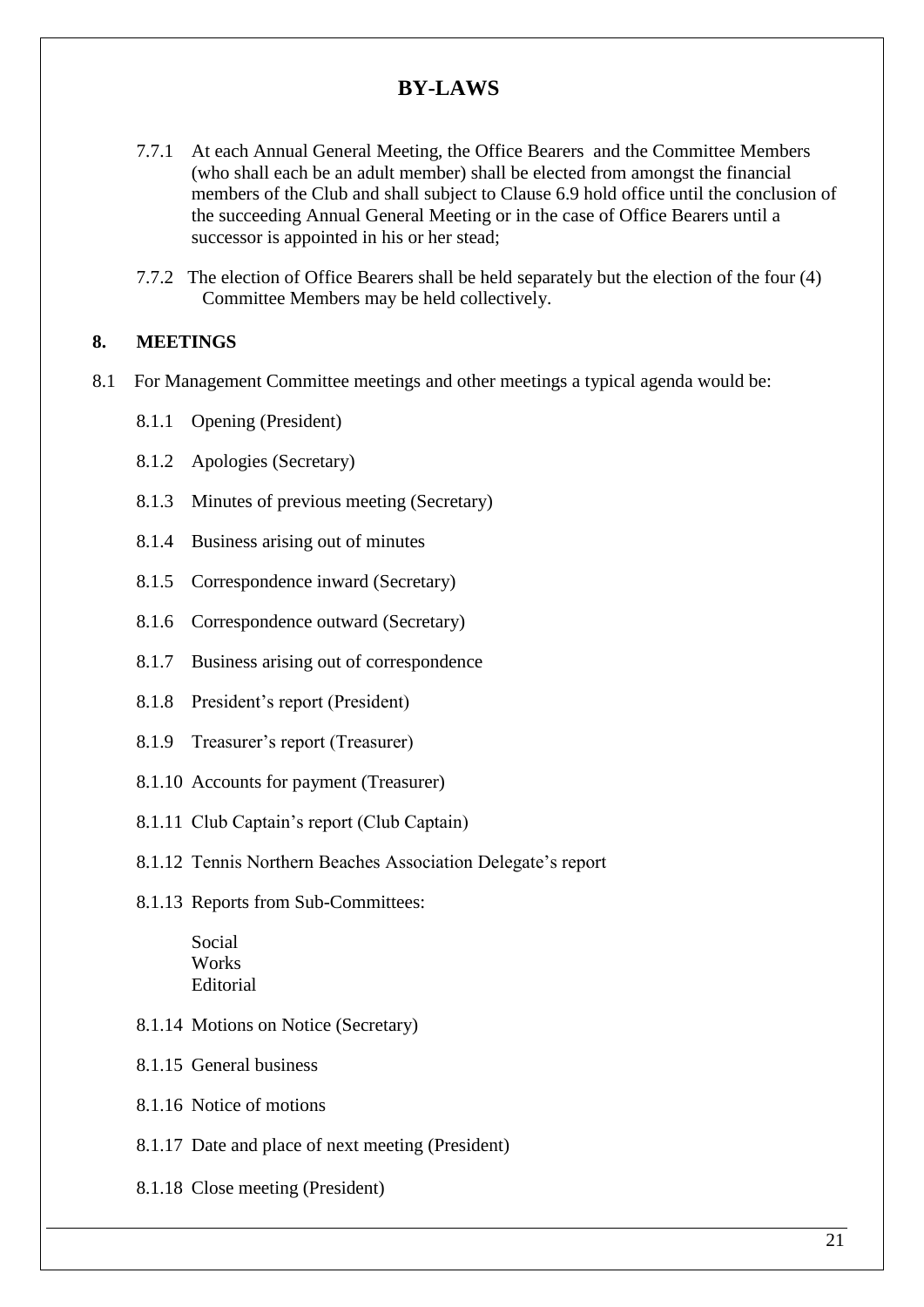- 7.7.1 At each Annual General Meeting, the Office Bearers and the Committee Members (who shall each be an adult member) shall be elected from amongst the financial members of the Club and shall subject to Clause 6.9 hold office until the conclusion of the succeeding Annual General Meeting or in the case of Office Bearers until a successor is appointed in his or her stead;
- 7.7.2 The election of Office Bearers shall be held separately but the election of the four (4) Committee Members may be held collectively.

#### **8. MEETINGS**

- 8.1 For Management Committee meetings and other meetings a typical agenda would be:
	- 8.1.1 Opening (President)
	- 8.1.2 Apologies (Secretary)
	- 8.1.3 Minutes of previous meeting (Secretary)
	- 8.1.4 Business arising out of minutes
	- 8.1.5 Correspondence inward (Secretary)
	- 8.1.6 Correspondence outward (Secretary)
	- 8.1.7 Business arising out of correspondence
	- 8.1.8 President's report (President)
	- 8.1.9 Treasurer's report (Treasurer)
	- 8.1.10 Accounts for payment (Treasurer)
	- 8.1.11 Club Captain's report (Club Captain)
	- 8.1.12 Tennis Northern Beaches Association Delegate's report
	- 8.1.13 Reports from Sub-Committees:

Social Works Editorial

- 8.1.14 Motions on Notice (Secretary)
- 8.1.15 General business
- 8.1.16 Notice of motions
- 8.1.17 Date and place of next meeting (President)
- 8.1.18 Close meeting (President)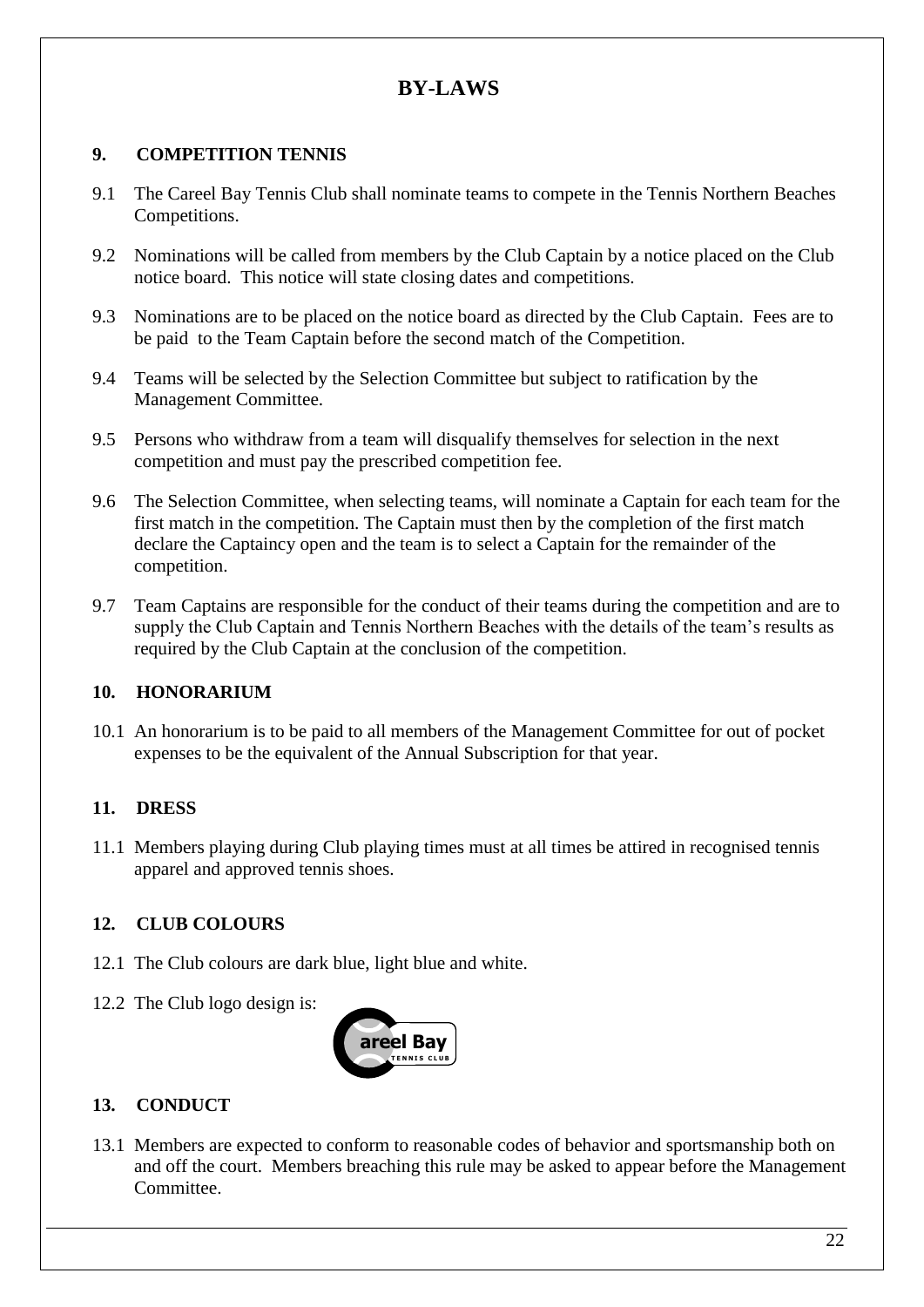## **9. COMPETITION TENNIS**

- 9.1 The Careel Bay Tennis Club shall nominate teams to compete in the Tennis Northern Beaches Competitions.
- 9.2 Nominations will be called from members by the Club Captain by a notice placed on the Club notice board. This notice will state closing dates and competitions.
- 9.3 Nominations are to be placed on the notice board as directed by the Club Captain. Fees are to be paid to the Team Captain before the second match of the Competition.
- 9.4 Teams will be selected by the Selection Committee but subject to ratification by the Management Committee.
- 9.5 Persons who withdraw from a team will disqualify themselves for selection in the next competition and must pay the prescribed competition fee.
- 9.6 The Selection Committee, when selecting teams, will nominate a Captain for each team for the first match in the competition. The Captain must then by the completion of the first match declare the Captaincy open and the team is to select a Captain for the remainder of the competition.
- 9.7 Team Captains are responsible for the conduct of their teams during the competition and are to supply the Club Captain and Tennis Northern Beaches with the details of the team's results as required by the Club Captain at the conclusion of the competition.

### **10. HONORARIUM**

10.1 An honorarium is to be paid to all members of the Management Committee for out of pocket expenses to be the equivalent of the Annual Subscription for that year.

### **11. DRESS**

11.1 Members playing during Club playing times must at all times be attired in recognised tennis apparel and approved tennis shoes.

# **12. CLUB COLOURS**

- 12.1 The Club colours are dark blue, light blue and white.
- 12.2 The Club logo design is:



# **13. CONDUCT**

13.1 Members are expected to conform to reasonable codes of behavior and sportsmanship both on and off the court. Members breaching this rule may be asked to appear before the Management Committee.